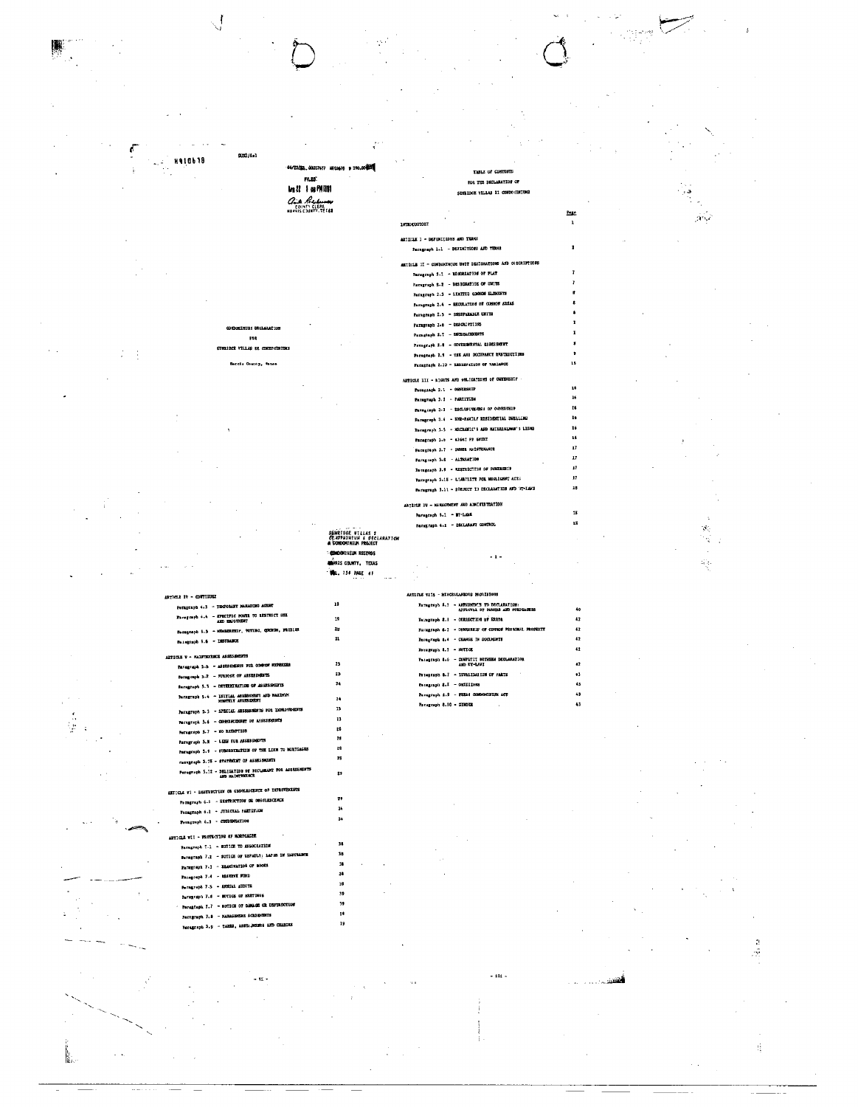#### SJ32/1a1 **H910b18**  $\zeta_{\rm c}$  . TABLE OF CONTROL |<br>| MLAS<br>| MLAS | MANIFI for THE DECLARATION O **SURFIDGE VILLAS II CONDO CINIUMS Chit Reduces**  $P$  $\mathcal{H}^{\mathcal{A}}$ 197800007087 ARTICLE I - DEFINITIONS AND TERMS Paragraph 1.1 - DEFINITIONS AND TERMS ARTICLE II - CONDORINIUM UNIT DESIGNATIONS AND ORSCRIPTION Paragraph 1.1 - RECORDATION OF FLAT Paragraph S-2 - DESIGNATION OF UNITS Paragraph 2.3 - LENTTED COMMON SLENGERS Paragraph 2.4 - REGULATION ON COMMON AREAS Farngraph I.S - INSEPARABLE UNITS Paragraph 2.6 - DESCRIPTINS<br>Peragraph 2.7 - ENGEQACEMENTS m Paxagraph 2.8 - COVERINGENTAL ESSESSIENT VILLAS EE CORDO: Paragtaph 2.9 - USE AND DECIPANCY ENSTRICTION cia County, texa Paragtaph 2.10 - ESSIEV4TION OF VARIANCE ARTICLE III - RIGHTS AND ONLIGATIONS OF GWHENSHIP Paragiach 3.1 - OMNIBSIP Paragtaph 3.1 - PARTITISH Peregraph 3.1 - EXCLUSIVERESS OF ORDERSHIP Paragraph 3.4 - SMR-PANILY RESIDENTIAL DEELL Recepte 3.5 - MECHANIC'S AND MATERIALMAN'S LIENS  $\mathbf{a}$  $\mathbf{r}$ Faregraph 3.7 - OWNER HAISTERANCE  $\frac{1}{2}$ Farageaph 3.8 - ALTERATION Persgraph 3.4 - RESTRECTION OF OVARESHES  $\overline{a}$ Persgraph 3.18 - LIABILITE FOR MEGLIGHT ACTS  $\overline{17}$ Persgraph 3.11 - SDEJECT 13 DECLARATION AND WI-LAND ARTICLE 1V - NAMAGEMENT AND ADMITEREDUCE Paragraph 5.1 - BY-LARE  $15$ Paregraph 4.1 - DECLARANT CONTROL  $\overline{13}$  $\hat{\sigma}_\eta$ **SUNRIDGE VILLAS 1**<br>*GRADDNINIUM & DECLARATIC*<br>A CORODINIUM PROJECT : 국내  $\sim$ **CONDOMATION RECORDS**  $\ddotsc$  $\frac{1}{2} \frac{1}{2}$ **MERIS COUNTY, TEXAS WELL TO A PAGE 41** .<br>NS MIOVISIONS Perngraph 4.3 - TECP 19 Faragraph  $\pm$ .7 - AUCHRONES TO DECLARATION  $\begin{minipage}{0.9\linewidth} \textbf{Target 4.4} & = \begin{minipage}{0.95\linewidth} \textbf{IN} & \textbf{NOTE 10} \\ \textbf{AND} & \textbf{IN} & \textbf{ON} \\ \textbf{IN} & \textbf{ON} & \textbf{ON} \end{minipage} \end{minipage}$ Paragraph 8.1 - CORRECTION OF ERRDR  $\mathbf{t}$  $\overline{12}$ Persgraph 5.5 - Ministrator, POTIMO, QUORUM, PRODUCT Sanagraph 8-1 - OWNESSIP OF COMMON PE 26  $\overline{1}$ 21 Foregraph 8.4 - CHANGE IN DOCUMENTS  $\overline{a}$ Panagraph 5.6 - DISTRANCE Persprays  $4.1 - 30TIG$  $\ddot{\mathbf{z}}$ **ARTICLE V – SALUTERINGE ASSESSMENTS** Faragraph 8.6 - CONFERCT BETWEEN DEGLARATION AND EX-LAST Paragraph 5.h - ASSESSERE FOR CORNOR ED  $\overline{13}$  $\overline{a}$ Petegraph 8.7 - IEVALIDAIION OF FARTS Paragraph 5.2 - FURFOSE OF ASSESSIBILITS  $\boldsymbol{^{23}}$ é3 Paragraph 5.5 - DETERMINATION OF ASSESSMENTS  $\overline{24}$  $P = 3.1$  = 007333089 43 Paragraph 212 - SPECIAL ANSENSIERT AND NAIDEMENT<br>Paragraph 516 - SPECIAL ANSENSIERT<br>Paragraph 213 - SPECIAL ANSENSIERTS FOI INDROV 45 ,, Peragraph 8.10 - SENDER  $\mathbf{a}$ 13 Paragraph 5.6 - CONNERCZONNY OF ASSESSIONS  $\mathbf{r}$  $\mathbf{r}$ Persgraph 5.7 - 80 ELEMENTOS  $\boldsymbol{z}$ Paragraph 5.8 - LENN for ASSESSIONERS Paragraph 5.8 - SUBORDIBATION OF THE LIER IV NORTGAGES 29 razegraph 3.78 - STATERNET 07 ASSESSMENTS 25 Paragraph 5.12 - DELIGATION OF RECLARANT FOR ASERSSMENTS  $\boldsymbol{v}$ ARTICLE VI - DESTRUCTION OR CHOCLESCRUTE OF EXPROPER 79 Permanent 6.1 - SESTROCTION OR OBSOLESCENCE 34 Paragraph 6.2 - JUNICIAL PARTITION Persgraph 6.1 - COSUEGATION 34 **ARTICLE VII - PROTECTION &F MORTGAGER** Paragraph 7.1 - E02108 TO ASSOCIATION  $\overline{\mathbf{34}}$ Perngraph 7.1 - SOTICE OF UEFAULT: 1AP12 IN IN 38 Paragraph 7.1 - EEANINATIOS OF BOOKS u Paragraph 7.4 - RESERVE FIND  $\mathbf{a}$ Peragreph 7-5 - ANNUAL AUDITS 39 39 Paragraph 7.4 - MOTICS OF RESTINCE Paragiaph I.7 - HOTICE OF DESAGE OR DEST  $\overline{\mathbf{32}}$

Farrgraph 7.3 - Hattansmins Academics Peregraph 3.9 - TAXES, ANDS: ACEN'S AND CHAIGES

k.

 $\setminus$ 

 $\frac{1}{2}$ 

人名拉克

 $\sim$  and .

 $\mathbf{B}$ 

19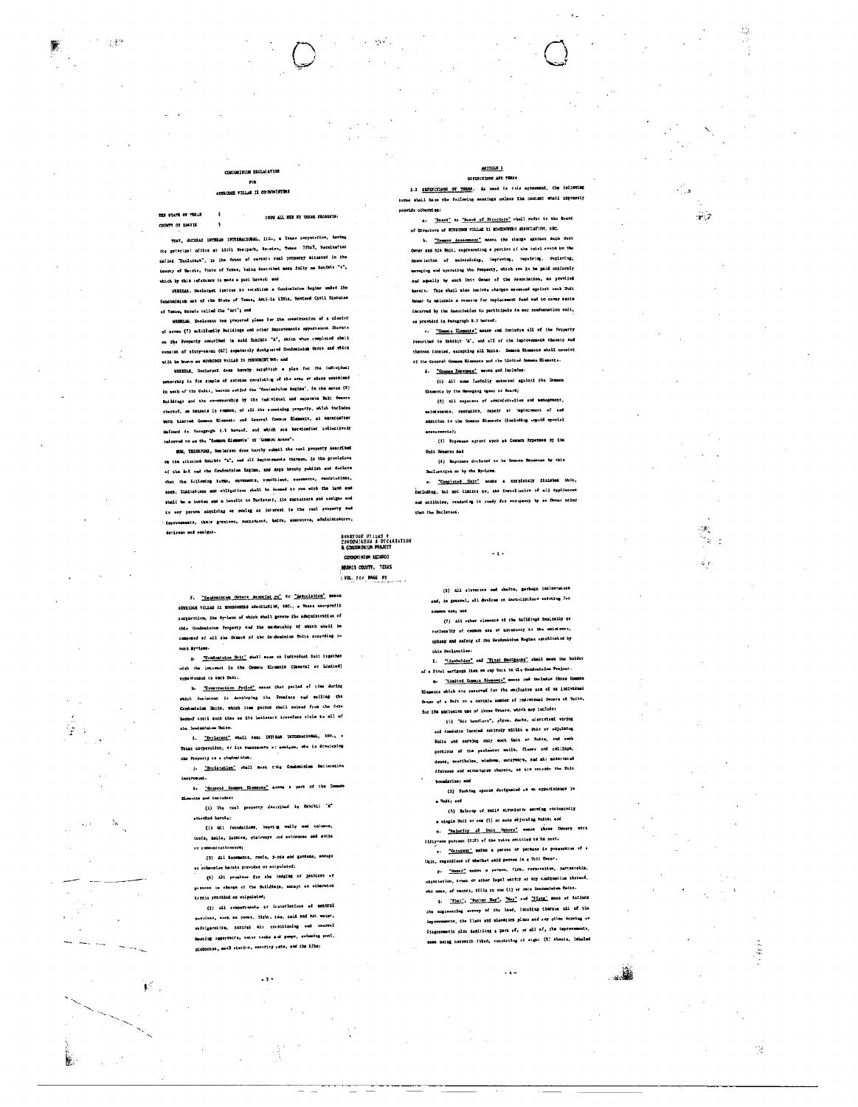## **WILM DECLALATIO**  $_{\rm mu}$

139

隆

 $\frac{1}{2}$ 

h.

 $\ddot{\phantom{1}}$ 

# nus n o

THE STATE OF THEAT

COUNTY OF HARRIS

# 1909 ALL SEW BY THERE PRESENTS:

THAT, WHICHAS INTERAN HWTERMANIONAL, H.C., a Texas corporation, baving ite principal office at 10311 Westpark, Bouston, Texas 77047, heceinafter called "Declifest", is ite Owner of certain real property aituated in the County of Emeric, State of Temme, being described more fully us Smaller "A", duich by this reformace is mode a part herewi: und

WEREES, Datlarant ipsires to establish a Condoalaion Regine under The Condominium Act of the State of Texas, Article 13Him, Reviewd Civil Statutes of Texas, bereix celled the "Act"; and

unsants, Dielevent hea propered plans for the construction of a cluster of seven (7) multifestly Buildings end other improvements appurtantor thereta on the Froperty Antoribed in said Shhibit "A", which when completed shall esusiat of sixty-esven (67) aspatately designated Condomisium Units and which will be known as EURIDGE Vallas It CONDOMINIES; and

WEIERAS, Declarent dees hareby ostablish a plan for the individual ovnorship in fus simple of estatus consisting of the arms or sisce contained turned of the Unite, hersin estied the "Concominium Regime", in the sevan (8) Buildings and the co-connecting by the individual and separate Balt Owners rbaragf, as becants In common, of all the remaining yreparly, which foclodes moth Limited Commun Element: and General Counce Elements, at harningfler delined in Faragraph I.1 heraof, end which are bermicafter collectivniy caterred to se the "Common Elements" at "Common Arean".

NOW, TERMITUE, Declarent does hereby submil the real property described the attacked Embibic "A", and all improvements therees. In the previsions of the foll and the Condouinium Esgine, and days hereby publish and declare that the following barms, corements, consittions, costments, restrivitions, uses, limitativns and obligations shall be Acemed to run with the land and shall be a burdan and a bensitt to Declatert, its sucrectors and assigns and th sey purson acquiring ar owning an isterant le the real property and improvements, thaiv greatees, muccetaers, haits, executors, edministratora, devises and ensigns.

SHNRTDGE VILLAS I<br>CONDONINIUN & DECARATION<br>A CONDONINIUM PROJECT COMMUNISM RECORDS MORIS COUNTY, TEXAS **VOL. 754 PAGE P2** 

f. Cendominium Owners Association' av "Association' west SUNRIDGE VILLAS II BOMBOURERS ASSOCIATIN, tHC., a Texas ass-profil corporation, the ty-laws of which shall govers the administration of Condominium Preperty and the mosborship af which shall be componed of all the Ovness of the Condominium Unite accreting to such Br-laws

8. Tondomintum Unit" shall seem an indivedust Unit trgsther with the Internat in the Common Elements (Conoral or Linited) vepurtenant to ench Unit.

h. Cometruction PorlyA" means that patied of time during which Declarent is developing the Presiscs and selling the -----<br>Conduminium Units, which time pariod shall extrad from the date berenf tatit such time me Ibs lecterart transfere vitle tv all of .<br>the londantaiem Unite.

1. "Deplacent" shall see: DIT-RAN INTERNACIONAL, INC., a Taxas corperation, at its successors w: seeiges, who is developing che Property as a condontatus.

3. "Depiaration" shall mean this Consomisium Declaration

1. Chnaral Comon Elements" energy a part of the Common .<br>Elemente and includes:

...<br>(1) The real property dascribed in Exhibit 'A' strached herets:

(1) ail foundatione, beening welly see entered. .<br>1995a, balle, lybbies, vtairwsys und entrences and exile or esmenicationwere;

(3) All terchence, roofs, yirds and gardens, encapy as utburntas barola provideá or etipulates:

(4) All promises for the lodging of jestimes of persons in charge of the Buildings, except as otherwise turnia provided er ettpulstod;

(I) All remport-weate ar instationing ed mentral services, much me nover, light, ; se, celd and hot water, refrigarstiza, ceztrel air conditioning and mentral heating reserveive, weter tecks and pumps, swimming pool, ciubhonse, meil station, escuricy pate, and the time

 $\ddotsc$ 

### ARTICLE I DEPENITIONS AND THEN

1.1 CEFERITIONS OF TEEM. As used in this ag nt, the felicular terms shall have the following mannings unless the context shall impressiy provide otherwise:

A. Board' ar "Roard of Directors" whall refer to the Board of Directors of SUNRIDGE FILLAS II HOMIGANIES ASSOCIATION, tWC. b. "Common Assessment" means the clistes against sach Duit Dener and his Unit, representing a portion of the total custs to the Association of maintaining, impreviou, repairing, replacing, manusing and operating the Property, which are In ba paid uniformly .<br>and equally by each Unit Owner of the Association, as provised bereit. This shall also incirds charges seconded against mach Unit Owner te nalurato a rassume for replacement fund and to cover excisincurred by the Association to participals in any nondemnation suit, ss provided in Paragraph B.1 beranf.

v. "Common Elements" means and includie all of the Property fescribed in Suhibit 'A', and all of the improvements thereix and thermon tocated, excepting all Units. Commit Elements shall consist of the Cooreal Common Elements and the Linical Common Elements.

d. "Cosmae Expenses" mecas and includes: (1) Ali nume faufully secured against the Common

Elements by the Hansging Agent or Board;

(2) All axpaness of educateuralies and assuges nsintensons, opntatiox, repeir at replacement of aed addition to the Common Blements (including empeid special

ancermental: (3) Expenses agreed upon an Common Expenses by the **Unit Overes and** 

(1) Expenses declared to be Gommon Expenses by this Declaration or by the By-Laws.

e. "Completed Hote" neans a completely finished Unit, faciuding, but not limited to, the installation of all spoilances and utilities, rendering it ready for eccupancy by as Owner nther that the Docletons.

 $\ddotsc$ 

(5) All elevators und chafts, garbago incinates: and, in general, all davices or installations existing for

conson vac; etd (7) All other elements of the balldings Onelrably or tImmally of common sea at meratorry to the amistence, upkesp and safaty of the Gendouinius Regime vatablished by chis Declassion

I. Tienholder" and Tital Hottgapes, shall seen the bolder of a first eerigage lise on auy Unit in tie Condenialem Project. e. Timited Common Elements" means and includes there Common

Elements which are reserved for the empleatve use of 44 Individual Owner of a Unit or a cercais number of individual Owners of Units, for the axclusive use of these Owners, which may include:

[1] "Air handlwrs", plpss, ducts, olserrical wiring aud conduits located entitely within a Unit or adjuining Dalte and nerving culy such Unit or Unite, and such

portions of the perimetor wells, floors and callings, doors, veatibalms, windows, matryways, sud all sainctatud disturns and structures therein, as als ontered the Unia

boundaries: and (2) Parking spaces designated on mapportmence in

a Vatti sod (3) Eslevep of pails electrons secries

a single Unii or one (1) or ance edjoining Uniis; end n. Welority at Unit Concret seast these Deners with flity-one percent (til) af the voice entitled to he cont.

-<br>-- <u>"Occupati"</u> meltm a paraon of permons is posensmica of a init, regardiese of whethed weld person is a Unit Owner.

P. "Owner" mades a person, firm, rerporation, parcementip, importation, trust or ather Irgal early wr any configurion thereof, who nemme, of record, tills co cas (t) wr once Condominium Units. 4. That's 'Burney Hap', 'Mag' and 'Plans' most of include

the engineering svrvey of the land, locating thermon all of the improvements, the ileas and elevation plans and say other Armwing ye liagrammatic plan depicling a part of, or all of, the improvements, sume heing herewith filed, constating of sight (2) sheats, inheled

 $-4-$ 

 $\bar{\mathcal{Z}}$ 

 $\sim 7$ 

W,

Ŵ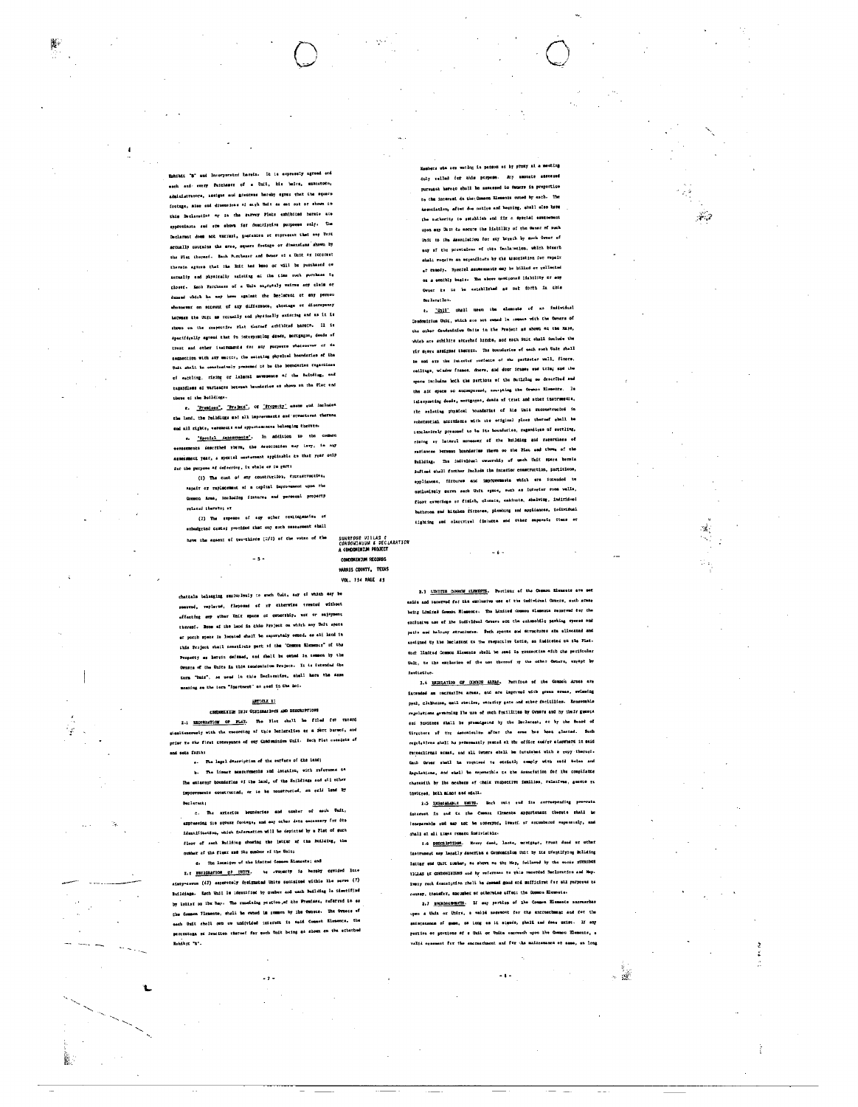Eshibit "B" and Incorporated harols. It is expressly agreed end each and every Peichasor of a Unit, his heirs, executors, administrators, assigns and grantees hereby sgres that the square footage, size and dimensions of asrh that as set out or shown in this Declaration ar in the survey Flats exhibited harate are epproximate and ere shown for descriptive purposes only. The Declarent does not warrant, goarantes of represent that eny Unit actually contains the erse, square footage or dimensions shown by the Plat thorast. Each Purchaser and Owner of a Unit or interest therain agrees that the Grit has been or will be purchased or setualiy and physically existing at the time such purchase to closed. Each Parchesse of a Unic engrately waires any claim or demand which he may have against the Declarant of any person whomewar on economic of any difference, shortage or discrepency hatwasm the Unit as retually and physically existing and as it is shown on the rrepective rist thermef arbibited harete. Il is spacifically agreed that in interpreting dends, mortgages, deeds of .<br>trest and other isstruments for any purposes whatsoever or En connection with any matter, the swieting physical houndaries of the Understate the conclusively presumed to be the boundaries regardless of secting, rising or Laleral movements af the Buitding, and tagafdless af variances betwan heundaries er shown on the flet and those of the Buildings-

r. Presions., Project, or Property, assess and includes the land, the fulldings and all improvements and structores thereon and all rights, estencers and sppurteesnowe belonging thereto.

s. Speciel Asacements'. In addition to the common serasements described steve, the Association may lavy, in our assexsment year, a special memoriant applicable to that year only for the purpose of deferring, in whole or in parts

(1) The cost of any construction, factuatroction, sapair or raplacement of a capital improvement upon the Common Arms, including fixtures and personal property related thereto; or

(2) The expense of any other toulingsmake or hudirtad cests; yrotided thac way such reservent shall have the ageeni of two-thirds (2/1) of the votes of the

SUNRTPOE VIILAS ¢<br>CONDONINIUM & DECLARATION<br>A CONDONINIUM PROJECT

CONDON IN THE CORDS HARRIS COUNTY, TEXAS VOL. 134 PAGE #1

 $-5-$ 

chattels belonging smeluslyely to such Suit, say of which say be roenvod, replarud, flaposad af xf ciberwiss tremted without affecting any sther Unit space of concreting, nor or sajayment thereoi. Moze of the land in this Project on which any Unit space ar porch space is located shall be suparately owned, as all land in this Project shall constitute part of the "Common Misseurs" of the Property as herrit defened, and shall be owned in commen by the Owners of the Unite in this nondominium Project. It is intended the tern "Unix", so used la this Decleration, shall hars the same meaning as the term "ipartment" as east in the Acc.

# $mucu$

CONDOMISION ON IT ORSIGNATIONS AND DESCRIPTIONS 2.1 Excellention of FLAT. The Flet shall be filled for raterd sissliencously with the recording of this Declaration ar a part bersof, and prier to the first tonwayance of eny Condominium Unii. Hech Fist cossists of and ears farible

Ÿ

4. The legal description of the eurence of the land; b. The linear mesturements and intetion, with reference to lhe externy boundaries of the land, of the Snildiags and ail other improvements constructed, ar to be ronatructed, on said lend by **Declerent** 

c. The axterior bounderies and unpher of each Unit, axotessing its spoaks footags, and say other data eacnessry for Sta identification, which information will be depicted by a Plat of such floor of each Building showing the letter of the Building, the number of the fluer mad inm number of the Unit;

d. The location of the Limited Common Slomssta; and

I. PERIGEATION UP UNITS. No -roomerty is haven't cevided late sixty-acres (47) esperately dreignstad Units nonisined withis the sereo (7) Buildings. Each Unil le identified by sumber and each Building le identified by lelief on the May. The remaining portion, of the Premises, referred to as the Common Flemente, shall be owned in roman by the Ownses. The Owners of sach Unit shell own ow undivided interest is said Common Elmsence, the percontegs of iraciion thermal for such Unit being as shown on the effected  $\mathbf{E}$  and  $\mathbf{E}$  .

 $\overline{\phantom{a}}$ 

Masbers whe are wotling is parson of by proxy at a meeting duly relied for this purpose. Any amounts assessed pursuaat hørers shall be samssed to Ouners in proportico to the internal on the Common Elements owned by each. The Association, after due notive and hesting, shell also have the auchority to setablish and fig a special eseconomic upon any Unit to secure the lisbility of the Owner of such Unit to the Association for any breach by soch Owner of any of the previsions of thes faciatetion, which beaseh shali requive an expenditute by the assortation for repeir of remody. Special assessments may be billed or rollected on a southly basis. The above mentioned limbility or any Ovner to to be established as mat forth in this ber Latet low.

t. "Unll" ohall usen the elements of no follwidual Condomitium Unit, which are not swhed In common with the Owners of the other Condominium Units in the Project as shown an the Maps, which are schibits atterhad hitets, and each Phit shall include the riv sjere assigned therers. The boundaries of each such Unit shall be and are the intertor surfaces of the pertmeter well, floors, cailings, window frames, doors, and door icame and trim; and the space includes both the pertions of the Building so described and the air space so ancompessed, arcepting the Common Elements. Is ialsrpreting deads, mortgages, deads of triat and sther instruments, the exlating physical boundarias of lis Unit reconstructed in substantial accruisucs with the original place thermaf shall be Essclasively presumed to be ite bounderies, regendines of settling, claims or lateral movement of the huilding and ratertizes of variances between boundaries them so the Plat and thous of the huilding. The individual ownership of useb Unit spore bereia defined shall further include the interior construction, partitlons, eppliascae, firtures and improvements which are intunded to unilusively sarve sach Unft opmos, such as interier room velle, floot caverings of fisish, clossis, cabinats, shalving, indiridual bathroom and kitchen firrures, plumbing and appliances, isdividual tighting and elercrivel fixtures and other supersis items or

2.3 LENITED COMMON KLENKEYS. Portleng of the Counce Elements are set eside and rerorved fur the exclusive use of the individual Counce, such areas being Liminal Common Slements. The Limited Common Clements senerved tor the exclusive use of the individual Owners are the submobile parking rporas and petio and halouny structures. Such sparse and structures ate allocated and agained by the Declarant to the respective Untie, as indicated on the Fiat. ench limited Common Slements sbell be used in ronnaction with the parificular Unit, to the exclusion of the use thereof sy the other Osmers, arrept by **Lutitation** 

 $\sim 6\times$ 

2.4 REGULATION OF CORONAL AREAS. Portfood of the Council Areas are iatended as recreation armes, and are impreved with green ereas, swissing psel, clubhense, mail stution, encurity gate and sther facitilies. Remantable regulations geverning lbs use of such frailities by Owners and by their guests ent towitees shall be promainsted by the Doclatent, at by the Board of Uirctors of the Assessionian after the erns has been glasted. Such regulations shall be permonently pasted al the office sod/er alsowhere in said reconstigued aveag. and all tensor shall be furnished with a repy thereof-Cach Orner shall ha required to strictly comply with esid Salas and dagulations, and easl! be seponsible to the Association for the compliance charawith by lbs meabars of their respective families, relatives, aucets re fawiress, holb minor and edull.

3.5 IMSALABLE UNITS. Mach sait end its corresponding pro-mate interest is sed to the Ommon Elements appurtenant therets shall be loseparable cod may not be conveyed, least. at annumbered sepacately, and shall at all times remars indivisible.

1.6 DESCRIPTIONS. Every dead, locke, moving-en, trust dead or other .<br>meut may legatly describs a Commoniclus Unit by its tWeatifying Bulleing. lattar and Unit number, so shown me thy Map, followed by the words remained TIGLAS ET COMMONISTIES and by reference to this recorded Decloration and Mep-Ivery rech description rholl be dessed good and sufficient for all parposes as convey, trensfer, sacuabet at otherwise affect the Common Elementa-

2.7 ENGROACHERNING. If any pertion of the Common Elements and upes a Unit or Unive, a valid assessort for the entreathenes and fet the .<br>aniacenance of sema, se long es it olgodo, ghall and done suidt. If any portion of nertions of a Unii or Unite encrosch upon the Common Elements, a valid opsement for the encreathment and ftr the maintenance of same, on long

- 2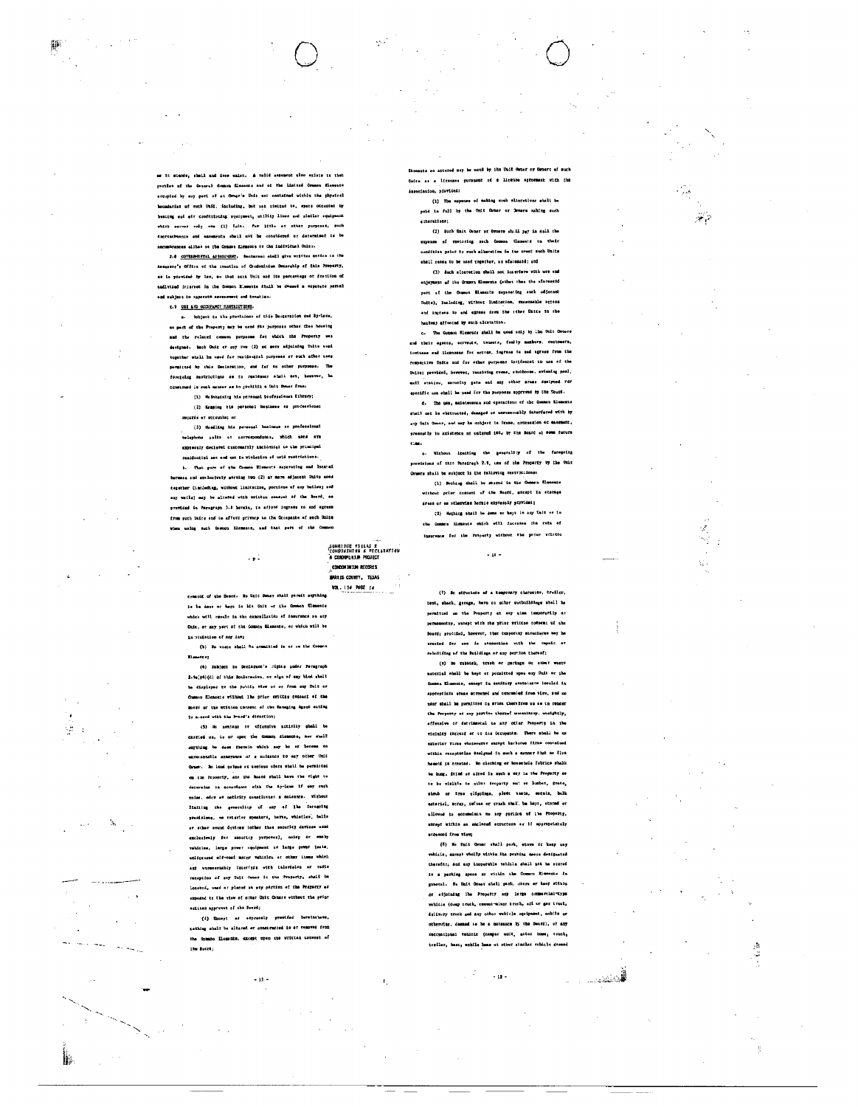وبالقرار

 $\frac{3}{4}$ 

as It stands, shell and deme exist. A valid assessent also exists to the portion of the General deman filements and of the limited Common filements estupied by any pari of an Owner's Unit not contained within the physical boundaries of such Unit, including, but ust timited to, space otcusied by beating out oir conditioning squipment, utility lines and statior equipment which server only one (1) tuit. For litle or other purposes, such encroachaenta and essementa shail nut ha considered or decennised to be omeumbrances ellbs: os the Common Micments or the individual Unity.

2.6 COTERNORMIAL ASSESSMENT. Declarant aball give written notic ssor's Office of the creation of Ongominium Ownership of Ehis Property, as is vegrided by law, as that mack Unit and its percentage of feaction of undivised interest in the Common Elements Shall be dessed a separate parcal and eshiect to separate assessment and texation.

# E.9 USE AND OCCUPANCY RESTRICTIONS.

m. Subject to the provisions of this Dectaration and By-Lave. no part of the Property may be used for purposes other than housing and the related owners purposes for which the Property were designed. Mach Unit or any two (2) or sore adjoining Units used tegether shall he used for residential purposes of such other uses permitted by this Booleration, and far as other purposes.  $\mathbf{r}$ construed is such manuar as to probibit a Unit Owner from:

(1) No integrating him pornound professionat Eibrary;

(2) Kenping his personal business as professional reçorde et ettevale; or

(3) Handling his personal business ar professional .<br>telephone calta or carrespondanca, which sens ere axpressly declered customarily incidentsl to the yrincipal reaidentisl mes and cut to Wiclaries of matd restrictions.

b. That pure of the Common Elements saparating and Incated butwess and arclusively serving two (2) ar more adjacent Units used tegether (including, without limitation, portions of any builway and may walls) may be altefed with writtan consret af the Board, as previded in Paragraph 3.8 herein, to afford ingrams to and egress from such Units and to afford privace to the Googante of such Units when using such Common Klemancs, and that part of the Common

 $\sim$   $\bullet$   $\stackrel{1}{\sim}$ 

creasur of the Board. No Unit Owner shall parell august to be done or hope in his Unit or the Common Eleanor. which will remale in the cancellation of insurance on auf Unit, or any yert of the Common Elements, or which will be in violation of any law;

(b) No wests shell be consisted in or on the Common theoret :

(4) Subject to Decissent's rights under Peragraph 2.9m(34)(d) of this Bocluracion, no sign of any kind shalt te displayed to the public staw on or from may Unit of Common Elements wilhout lhe prior writtes consact of the Board or the existen consent of the Hamaging Agont ecting tu accerd with the Poind's divection;

(5) He nextens or effective accirity shall be casting up, is of upon the Common slamente, nor shall anything be dans themain which may be at become on pastle accoyance of a muisance to mey other Unit Orner. He load naises or needens ofers shall be permitted on the Procenty, and its hoatd shall have the vight to determine is accordance with the Ay-laws if any rush noise, eder of matirity countinues a melesnes. Without 2iniing the secondity of any of 1hs foregoing presistomy, ne erterior speakers, beres, whistles, balls or schor sound devices (other theo socuring davices used exclusively for security yurpones), actop or emaly vohicles, large power aquipment at large power tests. unifreswed eff-road mothr vehicles at other itung which auf warmmerhably interfyrs with talevielen ar radio reception of any Unit Comes in the Property, shall be lonetné, umed er planed sa ety pértism ef the Property er exposed to the view of other Unit Cousse without the print eritten approvat af the Tourd;

(d) Except as expressly provided beveinsheve, nathing shall be altered or constructed in av removed from the inmano Elements, except upon the writtan consest of .<br>Che Bossit

 $\sim 11$ 

used by the Unit O esto so attered may be Onite as a licenses pursuant of a license agreement with the .<br>Auseriaeion, nievideś: (1) The expense of making such allorations shall b

poid in full by the Unit Camer or Sweete making such eiterellobit

(2) Such Unit Osmer or Osmers shall yey in sull the expense of restoring soch formon Hiemats to their condities prior by such alberation in the ovent such Unite shall cesse to be used cogather, as efaresaid; end

(3) Such elteretion shall not interfere with now and anjoymast of the Gramon Elements (other than the aforestid part of the Council Elements separating such odjacent Daits), Including, without limitarion, resousahle attes and ingrass to and extess from the cther Unite in the hardway affected by such alteration.

c. The Common Riemense shall be used only by the Unit Orners and their assocs, servents, tensuts, feelly members, customers, invitess and licensess for actome, ingress to sed agrees from the .<br>Metive Duite und for other perposar incidental to use of the Unite; provided, hewever, receiving rosse, otubhouse, swimming ponl. mail station, security gate and any other sress designed rdr specific use shall be used for the purposes upproved by the Soard.

d. The use, maintenance and operations of the Common Elements shail not he obstructed, danaged or unresocutily interfered with by any Unit Owner, and may be embient in Imame, concession or encement, presently in existence of entered ict, by the Board al some fur

cas. c. Without Italting the prograitly of the foregoing provisions of this Paraireih 2.9, use of the Property by the Oni .<br>Ormers shall be subject is the following restractions:

(1) Norbing shall be stored in the Genera Elements without prior compant of the Monti, except in startes sream or as otherwing heraic expressly provided;

(2) Hathing shail be done or keys in any talk or to the Common Michaente which will incorded the rate of Insurance for the Property without the prior weitton

 $-18 -$ 

(7) He structure of a tomporary character, broiler, tent, shack, garage, bern or ather cothaildings shall be permitted no the Property et eny eims temporerily or motty, axcept with the prior writton cowsent uf the Board; procided, however, that temporary structures may be imicted for was in u¤nnection with the repulc or .<br>rebuilding af the Buildings or any perulon thereof;

(a) So rebbish, trash or garbage or other westmeterial shall be keyt or pemitted upon any Unit or the Common Elements, except in sanitary containers bocaled in approptiats stuas attusned and concumulat iron wirv, and mo nder shall be puraiteed to stick cheraftwe on am in render the Property or any partice therew! usuanintry, unsightly, offensive or detrimental to any other Property in the wicinity threef or to fee Gooupants. There abell be on exterior firms whatsourne amongt harbotue firms contained exithis receptedles sonigned in such a manner that no fire based is created. We clothing or househald Jabrics shalk be hong, drind or aired in such a way in the Property se to be visible to other scoperty mut as lumber, grate, shrub ar tree glippinga, plett vasto, estala, bulk material, scrap, refuse or trash shall, he hapi, stored or allowed to accumulate no any pariten of its Property. except within as smoleted etropture as if appropriately acressed from view;

(E) No Unii Osuer shall cerk, stove or kass nav ehitle, apmat vholkp uithin iha perkins aesce deligested therefor, and any inoperable vehicle shall not be stored in a parking speas ar within the Compon Elements fu gneoral. He Unit Owner shall pask, stere or heep sithin or eijoindag lbe Property eny lerge commercial-type vahicle (duep truck, comment-winner trock, all or gas truct, dalivery truck and may other vehicle equipment, asbile ar otherwise, deemed to be a maternoon by the Deard), or any mechational vehicle (campar unit, actor home, truck, trailer, beat, mobile home of other similar vohicle desend

 $-12 -$ 

**SUNRIDGE VISLAS 2**<br>"CONDONTNIUM & PECLARATION<br>"A CONDOMINIUM PROJECT

ï

CONDONANTIM RECORDS **BARRIS COUNTY, TEXAS** VOL. 134 PAGE 24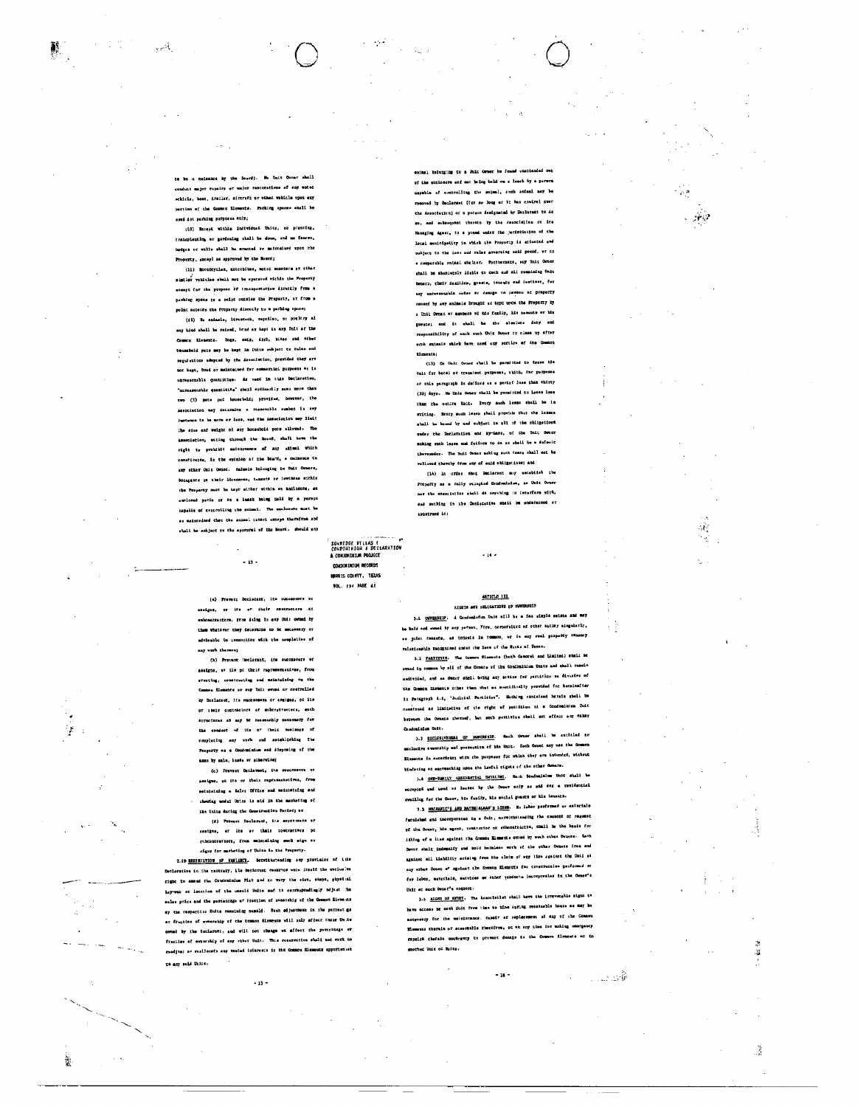فيهتونه

 $\mathcal{R}$ 

j

te be a calsance by the Source). Me Dait Owner shall combut major repeirs wr major restorations of eny mated webtels, base, trailer, aircraft ar other vabilis upon any pertinn of the Common Elements. Parking spaces shall be used dot parking purposes anly;

(10) Except within individuat Units, so plenting, rrancolanting or seviening shall be done, and no fances, bedges or wells shall be sracted or maintained upon the Property, succeyl as approved by the Board;

(11) Motorcyclas, actorbibas, motor scootars at other similar vehicles shall not be operated within the Property except for the purpose of transportaties directly from a parking space or a paint outside the Property, or from a polnt asteids the Property directly to a perking space;

(12) No enimals, livesteck, repriles, or poultry af any hind shall be raised, krad or kapt is any Unit of the Common Elements. Dogs, ests, dirb, hitas and mibed becausely onto may be kept in Thies subject to rules and regulations adopted by the Association, provided they are not kept, tred or maintained for commercial purposes or is unresconsils quantities. As need in this Declaration, "unresponsble quantities" chapl croinacily some nove that TWO (1) pate ped housebold; provided, however, the Aesociacion may decarmins a ressonshle sumber is eny instance to be earn or lass, and the Association may limit the size and weight of any household puts allowed. The association, acting through the Board, shall have the right ty prohibit seintenance of any atimit which constitutes, in the sympton of the Board, a nuissace to any sther Oniz Genet. Animals belonging to Unit Ceners, Bonneauts of their licensess, tensue or invitese sithic the Property must be kept atther within on anclosure, an onclosed yacio or as a least being hald by a person capalls of controlling the saimat. The enclosure must be os maintedned thet the sammal tanari escape therefrom and shall be subject to the approval of the Board. Sbeuld eny

> (e) Prevent Declecant, its successors or ensigne, or its of their cextractore of unhomencenters, from daing in any Unit owned by then whatswer they decorains to be necessary or adviceble in connection with the completion of any work thereon)

 $-13$ .

(h) Provect (Welerant, its aucunoford or sesigns, av ile pr their rapresentatives, from erecting, constructing and maintefaing on the Common Elemente or sup this evand or controlled by Donlarent, its muccessers or angigns, or its or their custmacions of subcretracions, queh structures an asy be reseoushly necessary for the conduct of the of their business of rouplating any verk and astablishing the Property as a Conductation and disposing of the same by sale, lease or athorwiser

(c) Prevent Declamet, its soucessors of assigns, we its or their reprosestatives, from seintaining a faler Office and metateining and showing modal Units is sid in the marketing of the Units during the Construction Period; or

(d) Provest Declaract, its especiesors ar samigns, er lem er their contracters pr rubcontrattors, from maintaining such sign or eigns for marketing of Units is the Property.

2.19 MESINGTION OF VARIANCE. Setwicksteading sey provision of 1.13 .<br>Nelaratine to the meditary, ile Deminitat resurves whis lisslf the exclusive right to amond the Condominium Plat and no wary the sist, steps, physical lay-out or location of the unsold Unite and to correspondingly rejust the sales price and the percentage of frection of ownership of the Comnon Elvas its ey the respective Units remaining tessid. Each adjustment in the percent ga er fraction of wemership of the tommos Elements will only effect those On.te ovend by its Declarent, and will not change ut affect the percentage or fraction of comparably of cor riber Unit. This reservation shall not rork to randjust or reallocats any vested loisrasts in the Common filements appurtentat ca auy sold Unice.

 $-15 -$ 

 $\sim$   $\sim$ 

enimal balanging to a Unit Owner be found unattended out of the suckenive and not being beld on a least by a person of controlling the animal, such animal may be wed by Declement (for aw Jong as it has control over the Association) or a person designated by Declarant to do eo, and exhangement thurato by the Associalism of its sauging Agent, to a pound under the juriveliation of the local musicipatity in which the Property is situated and oubject to the invi and rales governing said pound, we so s compacably chimal shelts: Futthecorcs, any thit Comer ghall be shamictely lishis to each and all resaining Unit Dumero, cheir dealidon, guesta, tensutr end iuvitosr, for any unresentable noise or densite to parison at property emseed by any animals brought at kept upon the Property by . Unit Owned or sembecs of his funity, his manuate or his gueros; and it whall he the alsolute doty and -<br>responsibility of mach such Unit Owner to clean up after sunh smissals which have used any portion of the Common .<br>Chainmhair

(13) Co Unit Owner shall be parafited to types his Oait for hotal or trausient purposes, which, for purposes or this paragraph is defined as a period less that thirty (30) days. No Unit Owner shall be purmitted to lease lase than the octive Walt. Every such lease shall be in eriting. Twory such lease shall provide that the leases whali he hound by and subject to mill of the obligations under the Declaration and my-Lave, of the Unit Owner making such learn and foliusm to do as shell be a dafnult thereunder. The Unit Owner meking such tense shall not be relieved thereby from eny of eaid obligations; and

[14) In order that Declarant may establish the **Property as a tully occupied Condominium, no Unit Owner** nor the enectiation shell de anything in interfere with, ead sothing in the Deciscation shell be understood av construct in:

 $-14 -$ 

### A CONDITIONER PROJECT CONDITION RECORDS **HURRIS COINTY, TEXAS BOL. 134 PASE 45**

SUNRIDGE VILLAS E<br>CONDONINIUM & DECLARATION

## ARTICLE 112 RIGETS AND OBLIGATIONS OF

3.1 OMNERSHIP. d Condominium Unit will be a fas simple seince and may .... —<br>owned by say person, Jirm, corporative or other matiky singularly, es joiet tenants, as tomants in common, et is any real preperty tenancy ralationship recognised under the laws of the Sinte of Texas.

3.2 PARTIFICS. The Common Elements (both Gamoral and Limited) shall be owned in commun by ril of the Owners of the Confoninium Unite and shall remain undivided, and se Owner shall bring any stills for particlno se division of the Chamon Elements sther than that as spacifically provided for betainafter In Paragraph 4.4, 'Judicial Partitiva'. Mothing contained hasain shell be countrued as limitation of the right of pactition ut a Condominium Chit herwen the Owners sheronf, but such pertities shell ant affect any other Quadoninium Unit.

3.3 ELCLUSIVESESS OF OUNTREALS. Mach Owner aboli be existed to excludive a warrantp uni possession of his Unit. Each Orset say wee the Common Blements in secondency with the purposes for which they are intended, without hindering or sucreaching upso the Lawful cights of the sther Genera.

3.4 OSP-NM:tx approaching building. Each Soudonialus that shall be dwailing fur the Owner, his family, his meclal guasts or his ismacte.

3.3 MMCHAFIC'S AND MATERIALMAN'S LIEMS. No lohor paufureed av enteriale furnished and incorporated in a fuit, naroithelanding the cancent at request of the Owner, his agent, rentrator or ethcontractor, chall be the hands for illing of a line against the Common Elements owned by such sthes Owners. Each Owner shalt indentify and hold hermines erch of the wither Owners from and system: ail liability arising from the eleim of say line agetert the Unil rd any utber Orset of against the Common Elements for crostruction porformed or for labor, esteriale, satvicas or éther yendocta incorporaisa in the Owner's Unit at much Denne<sup>s</sup>s request.

3.5 <u>alony of smit</u>y. The Association shall have the irrevocable right to have access he save Unit from time to time during resensable hours as may be netweeny for the usinteraces, depair at replacement of any of the Coance Elements therein of accessible therefrom, or at any time ier making convenancy rapaigs thereis uschrawry to provent densis to the Common firments of Co mother Unit of Molts.

 $-16 -$ 

ہو۔<br>آقات: ٹیب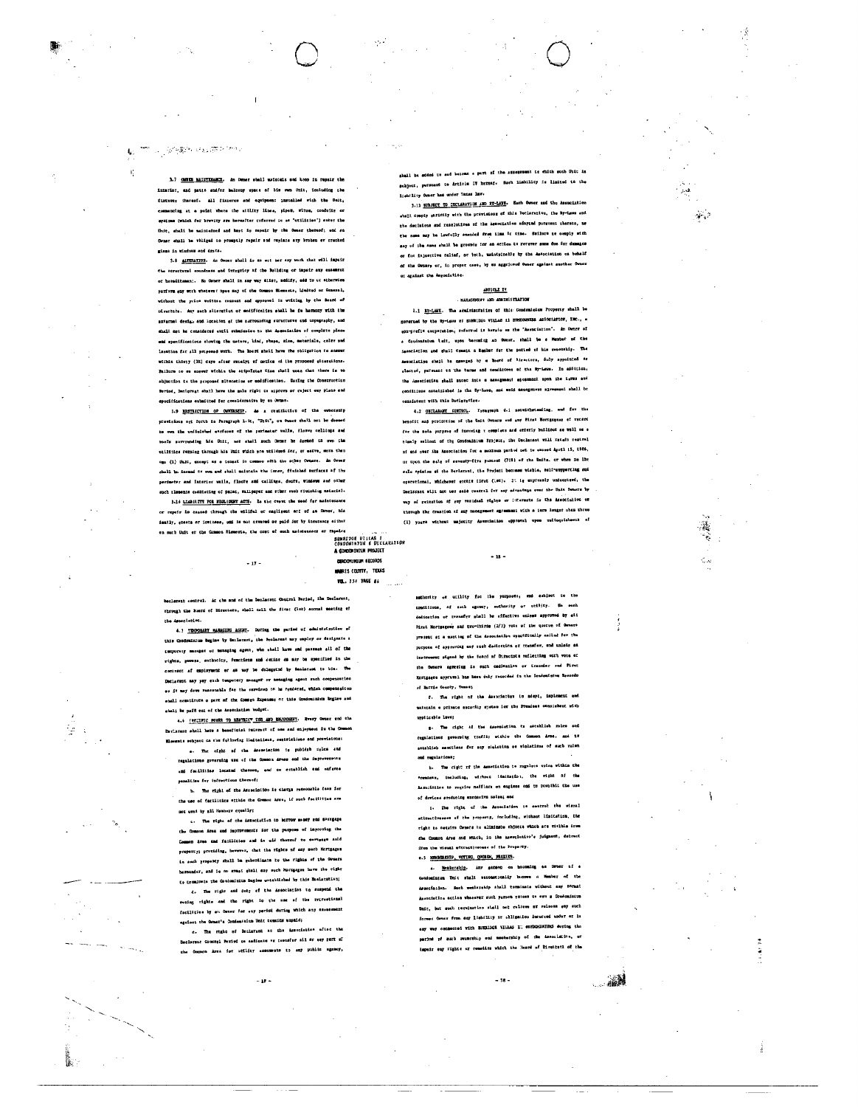# 学问题 网络带护地

 $\mathbf{f}_i^*$ 

ÿ.

₿.,

3.7 GMHz MAINTENANCE. An Omner shall matatain and keep in repair the interior, and patis and/er belong space of his own Unit, including the fixtures thereof. All fixtures and equipment installed with the Dair, scing at a point where the attisty lines, pipes, witus, conduits or systems (which for browity are hereafter referred to as "utilities") sater the Unit, shall be maintained and keyt in repair by the Owner thereof; and sa Owner shall be whilged to promptly repair and replace any broken ev cracked .<br>gluma in windows and drota.

3.8 AUTEMATION. An Owner shall io as ert mer any work that will impair che auroctural eoundness und integricy of the Bullding or impair auy essement or hereditamen:. No Owner shall in say way sliet, medify, add to or atherwise Parform eur werk whatever opee nay of the Common Micnaets, Linited or Ceneral, witbout the prins written consent and approval in writing by the Board of sivectors. Any mach alterative or modification shall be in harmony with the axtarnal design and location of the surrounding seructures and topography, and shall not be censidered entil submission to the Association of complete plans end specifications showing the nature, hind, steps, size, materials, color pad lention far all priposed work. The Board shall have the obligation to answer withis thirty (IS) days after receipt of notice of the proposed elterations. Failure to es answer wichin the stipoletat time shell mean that there is no shjuction to the proposed siteration or modification. During the Construction Poriod, Declorant shall have the male right to approve or reject exy plane and specifications entmitted for considerative by on Owner.

1.9 MSTLICTION OF OWNERSHIP. As a restriction of the provisions art furth in Persynaph 1.ir, "Onit", on Owner thall not be deemed to out the unifolohed attfaces of the perimeter wells, florms callings and roofs saverning his Unit, not shall such Drast be demed to over the etilities remoing through his Unit which pre-utilized for, er earve, more then oms (1) Dale, except as a temast in common with the other Owners. An Owner chell be forced to our and shall maintain the inner, finished surfaces of the perimeter and interior walle, floors and callings, douts, windows and other .<br>such historis confising of paint, whilpaper and sther such fiutehing material.

3.16 LLADILITY FOR NEGLIGENT ACTS. In the crest the seed for maintenance or repair to crosed through the willful or negligent and of an famou, bis iently, speets or invicess, ond is not nevered or paid for by insurance aither en such Unit er the Common Sigmonts, the cout of such maintenance or repairs

 $-17 -$ 

A CONDOMINIUM PROJEC EDITION INTLM RECORDS **MARIS COUNTY, TEXAS** VOL. 234 TAGE ##

keclarent contrel. At the and of the Declarent Coutrol Pariod, the Declarent, chrough the Board of Directors, shall call the first (let) aunual meeting of secLetL<sup>og</sup>

4.1 TEOCOLEY NAMAGING AGENT. During the paried of educate reflex of this Condominium Regime by Declarent, the Peclarent may employ or designate a temporary manager or menaging agent, who shall have and passess all of the rights, powers, suthocity, functions and detine do may be specified in the contract of employment or as may be delegated by Danlarent to bis. The Datistent any pay each temporary measurf or memaging agent such compensation os it may deve reasonable fau the services to he rendared, which compensation shall constitute o part of the Comen Expenses of this Composition Regime and shall be paf8 out of the Amerciation budget.

4.6 [tripling routs to anythic" ton are exponent. Svery owner and the teriaranc stull have a baseficial interest of see and enjoyment in the Common Elemente sebjact ca the fullowing limitations, sestriclions and provisiones

a. The cight of the desectation to publish roles and regulations governing use of the Common Areas and the inprove ami facilities located thereon, end on establish emi auferne panaltise for intractions thereof;

h. The right of the Association is charge researable fans for the use of fatilities ethic the Common Ares, if such facilities are not used by all Nembers countly;

c. The right of the Association to herrow money and sevegage Common Ares and improvements for the purpose of improving the Common Avea and facilities and in old theorof to severage said property; providing, hewever, that the rights of any morb Mortgagen in such propeoty shall be suberdinate to the rights of the Owners bereunder, and is no awast shall any such Moragager have the vight necessary .<br>To troutents the Contominium Begins wetablished by this Baslatetism;

d. The right and dut; of the Association to suspend the recing rights and the right io the nee of the recrestianal facilities by an Owner for any pariod during which any execus egatoot the Owner's Commentation Unit counter unpaid;

c. The style of Declarant at the Association after the Concegl Period on sadissics or transfer sil or say part of che Ocenon Area for utility assessate to any public agency,

 $-10-$ 

shall be sdded to sud become a part of the aggerment to which such Unit is subject, pursuant to Article IV hernef. Such lisbillty is limited to the lish/lity Owner has under Taxas law.

3.11 NIRIECT TO DECLARATION AND ST-LAND. Each Owner and the Association shall compiy strictly with the pravisions of this Declarative, the By-Laws and the decisiess and reselutives of the Association adopted pursuent tharats, ma the name may be lawfully sushied from time it time. Sollure to comply with emy of the same shall be grouple for an action to recever some due for demages or for injuettive called, or both, maintpineble by the Association on behalf of the Owners or, in proper case, by an aggriceed Owner against guother Owner or assinst the Association

### ARTICLE IV

1.1 BY-LANE. The sculpinstration of this Condomicium Property shall be verand by the By-Lawe of SUNRIDGe VILLAS 11 EOMEONWERS AS1001ATION, INC., a son-prefit comparation, rafarrad it herals as the "Association". An Owner of a Condonamium lait, upon becoming an Owner, shall be a Membar of the insectation and chall create a Reaber for the paried of his supership. The Amenciative shall be namaged by a Board of Sirectors, duly appointed as alected, pursuant to the terms and condictone of the By-Laws. In addicion, the descriction shall same into a measument spressor upon the terms and conditions established is the Sy-leve, and wrid assegnment spreement shall be consistant with this Dacisretice.

4.2 OECLARANT CONTROL. Toragraph 4.1 notwithstanding, and for the benofit and protection of the Unit Ownars and any Firat Hortgaguag of recept far the sola purpres of insuring a complete and enderly builious as well on a timely selicat of the Condominium Project, the Declarant will retain central of and over the Association for a meximum period not to axoced April 15, 1986, ur upon the sale of seventy-five percent (71%) of the Dmits, or when He like sale spinion at the Declarant, the Project becomes wishin, sulf-aupporting and operational, Whichever etchis first (ise). It is expressly undecateed, the Declerant will not use said contral for any advantage over the Unit Coners by way of retestion of goy veridual rights or interests in the Ameocialion or through the creation af any management agreement with a ierm longer chan three (1) yours without majority Association opproval upon raitsquisheent of

集

authority or utility for the purposen, and subject to the conditions, of such agency, authority or etility. He such dedication or transfer shall be affective unlyse approved by ali Pirat Mortganeer and two-thirds (2/3) your of the quorse of Owners present at a macting of the association opnetfitully called for the purposa of approving any tach dediction er transfew, and unleis as was signed by the toard of Directots veflecting outh vote of the Owners agreeing is such dedination or transdar sud Pirer Mostgaete epprussi bus baun duly recorded in the Condesistum Records of Barrie County, Texas;

 $-18 -$ 

f. The right of the Association to mdept, implement and maintain a privato security system ior the Premises connishent with spplicable laws;

g. The right af the deconistion to actualize roles and .<br>regulations governing traffic within the Common Arca, and ts astablish sanctlans for may micleting or violations of such rulen .<br>con regulations:

h. The cipht of the Association to regulate uping within the \*renies, including, without limitation, the right of the Association to require nufflars on engines can to probibit the use of davices groducing excussive saise; end

i. The right of the Association is centrol the stand atizactivesses of the property, including, wichout limitation, the right to caquire Owners to aliminate chiccts which are visible from the Counce Ares and Which, in the association's judgment, detrect ifon the wisual aftractlystess of the Property.

e.5 MEASCASTP, VOTING, QUORN, PROXISS.

4. Menhorship, Any sameon on haconing an Drust of a Condominium Unit shall exceptionally bucowe a Hember of the Association. Such mentsuship shall terminate without any somet Association action whosever such parson potesm os ewn a Condomiutor Dait, but such terejustion stall not relieve at release any such formes Owner from any lisbility or shilgenics incorred under er la eny way consected with SUBLIGE VILLAS II enflormations dowing the period of such overcelip end membership of the headclifin, or impair car rights or remodics which the Board of Directori of the

 $-18.$ 

1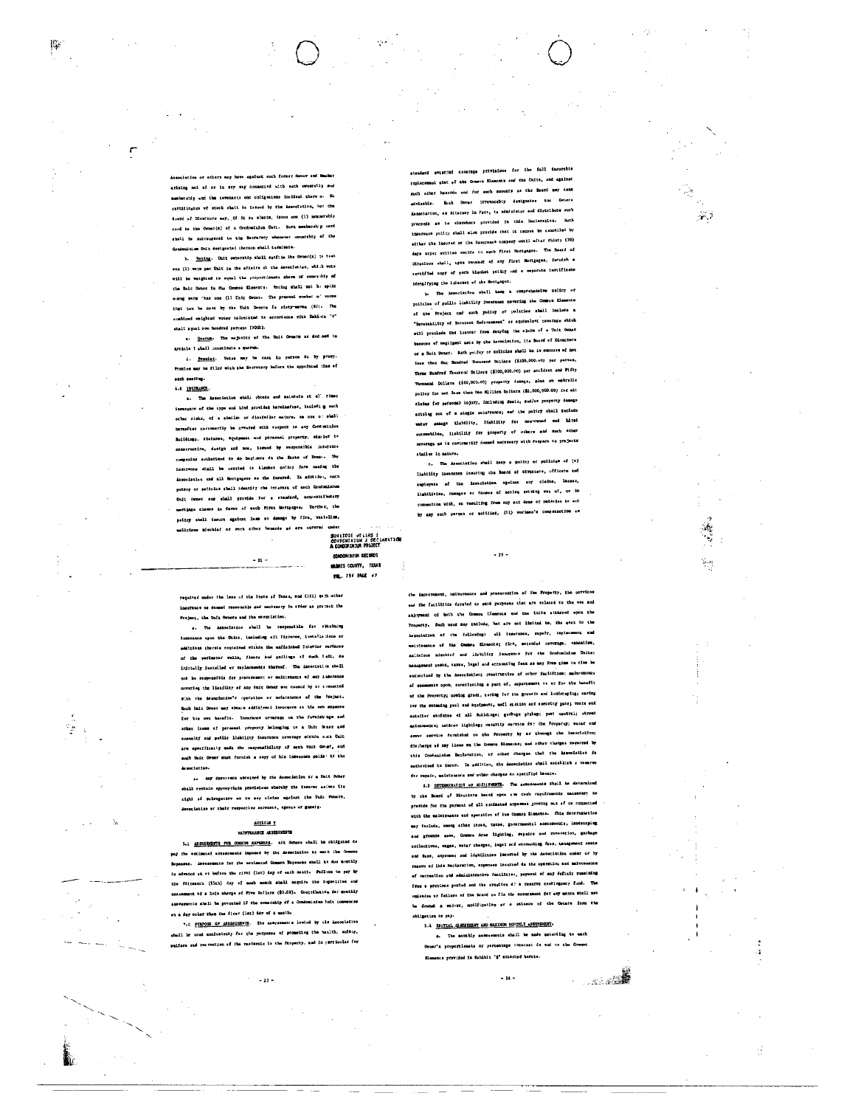seatust such former On ariains oul of ar is say way connected with such ownersity and membership and the covenants and obligations incident there :o. No certilingtes wf stock shall be issued by the Association, let the fourth of Directors may, if it as elects, tasus one (1) neuratehip card ta the Orner(a) of a Comfoninium Uatt. Such combacably car shatl he sutrendeted to the Sectorery whenever ownership at the Condenium Unit designated thereon shall tarminate.

b. Vering. Unit experiency shall satitis the Owner(s) to mean ons (1) were par Unit in the affaire of the Association, which vote will be weighted to equal the proportionate share of owner-hip of the Daic Dener is the Counter Elements. Vetting shall not he split since rore than one (11 Unit Osmat. The pressed number of votes that ten he cast by the Unit Occors Is sisty-serme (67). The cembiond weighted voter teleplated is secondense with Exhibit "C" shmlt spaal oou hundred percent [3003].

E. Querus. The majustry of the Unit Owners as defined in Article I shall constitute a quorum.

d. Frontag. Vetas may be mass io person de by proxy. Proxice may be filed with the Secretary bafore the appointed time of

## erch needing. 4.6 <u>THURNOT</u>

ĮĢ.

٣

s. The Association shall obtain and meintoin at ql' times inswrgn:s of the cyps and kind provided horeinsfoor, including such other ricks, of a similar or dissistlar mature, so are or shall steater certemently be covered with respect on any Contenius Buildings, fisterse, equipment and personal preparty, sim lef ie conservative, dasign and usa, issued by susponsible insurance companius asthorized to do beginers in the firsts of Texas. The ionurence 41mll be carried is blanker goticy form maning the iesociatien und all Mortgagese as the Sarared. In addition, each poteny or paticica shall identify the internet of mach Comdoninium Unit (word and shall growide For a standard, acocostributsxy surtigage classe to favor of sech first Hortgages, Unrther, the pointy shell insure against item or denage by fire, varielism. malicious miochiaf or such sther hemaris ad are corered under SUNLIDGE VELLAS I<br>CONDONINIUM I DECLARATION<br>A CONDORINIUM PROJECT

 $-21$ 

CONDOMERENT RECORDS

HABRES COUNTY, FEXAS .<br>wa. 196 PAGE 67

requited under the laws of the items of Texas, and (111) evih other insurance so decend resecuable and macrosovy in attler as protect the Project, the Unit Owners and the exercistion.

s. The Association shall be reopencible for electring foregases upon the Units, (selecting alt fisteres, instatistions ar additions therete custoined within the mafininhed 2stetior surfaces of the perimeter walls, floors and pailings of such talt, as initially installed wr replacements thereof. The insectent is shall numerous component for processment or maintenance of any insurance navering the listifity of any Unit Owner mut caused by at sommated with the Memcintico'r operation or usiatensice of the Project. Roch Dair Dener may ebtain sodditional innocurre at his own expense .<br>for his own hatafit. Insurance ocvarage un the furalehings and ather items of personal property belonging to a Unit Graer and cassaitf and peblis lisbility insurance coverage within e.ch Unit are epecificatly asss the mapphathility of sath thit Gnef, and anch Unit Orner must furnish a copy of his inswences polis; to the as sociation.

4. Any dustries obtained by the Association ar a Unit Ovner shall centain spisupriate provisions whereby the insurer malwes its cighl af subregatnev as to any cloims against the Unit Ovenra, desociatise av thair respectivo asreznta, agenta or gunsts.

# Ameur y

### NATITERANCE ASSESSMENT

5.1 ASFRESSIONTE FOR CONSUM EXPENSES. all Outers shall be obligated to pay the estimated arrassments imposed by the Asonotation to meet the Common **Dopenses.** Assessments for the matimated Common Expenses shall bt due monthly is advance on or before the rifet (let) day of each meath. Pallure to pay by the filteenth (15th) day of monh month aball copulme the imperities and measement of a lets sharge of Pive Inllars (\$5.08). Contribution dar musthly asseguencie shell be provated if the ovemsibip of a Condomisium lait com on a day other than the first (let) day of a masth.

".2 FURFORE OF ASSECTIONS. The assessments lawied by the Association sbell be used exclusively for the purposes of promoting the hatith, asfaig, welfars and recreation of the residents is the Reoperty, and in jarticular for

 $\gamma^{\rm eff}$  =  $_{23}$  =

itenderd efteried coustege privisions for ihn fall insurable raplacement siet of the Common Microsta and the Unite, and against such other hazirds and for each snounts as the Boerd may deal eivisable. Mask Groer irrevocably designates the Omera Association, as Attorsay In Mett, to administor and distribute such preceeds as is elegators provided in this Daclaratian. Such insurance policy shall slow provide that it cannot be cannelled by either the insured or the imagence company until witer chirty (30) days arger writted conice to each Firet Horngages. The Board of Directors shall, upen coquest of any First Mortgages, furnish a certified copy of gach blanket poidcy and a separate certificate 

 $\sim$ 

Ą

Ý.

b. The Amerciation shall beep a comprehensive Galiny of policies of public lisbility formmence covering the Common Elements of the Praject and such policy of policies shall include a "Severability of Inturnet Emborement" or aquivalret naverage which will preclude the insurar from denying the claim of a Unit Owner because of magligent mats by the Association, its Board of Disoctors or a Unit Owner. Such policy or colicies shall be in amounts of not iese than One Bundred Thousand Inlines (\$100,000.40) par perses, Three Hundred Theusend Bollers (\$300,000.00) per ancident and Pifty Thousand Dollers (\$10,000.00) property (ssage, plus we eshrelle policy for not lass that One Million Dollars (\$1,000,000.00) for all claims for parsonal injury, including death, sadjor property desage ariolog out uf a single occurrence; end the policy shall feciude water samage Elshilliy, Siahilliy for oce-runned and hirst suremobiles, itability for groperty of others and much ather tovoraga na ie customeriju danmai mačematy vitu rompact to yrajacte stailer in mature.

c. The desociation shall keep a policy of policias of (r) lishility inestance insuring the Roard of Offerters, officers and amployess of the isseciation aguinst any claims, lasses, lightlities, damnges or masses of sories artsing wat of, or in commetion with, as resulting from any act done of melasies to act by any such person or entities, (11) worksau's compensation as

 $\overline{12}$ 

ce and prosgrantion of ibs Property, the cervicas end ibn fecilibies dorsted to exid purposes that are related to the ess and aujoyment of both the Common Hemesta and the buits situated vyou the Froperty. Such unas may include, het are not limited to, the even to the Association af the following; all inserance, super, replacement and usintenance of the Comme Missaute; fire, extended cavorage, sandailes, mattefous mischief and lisbility lumentors for the Gondomlaius United manigement poste, taxes, legal and accounting fees as may from pime to sime he suthorised by the Asocciotion; resettuctive of other facilities; maintonsuce af enemmante upon, constituting a part of, apportement to or for the benefit of the Property; nowing gress, cering for the groweds and landersping; caring ier the swimming pask sod equipment, mell species and socuring gate; toofs end exterier surfsmas ei all Buildings; gedugs ptrhup; peel coutrol; etreet maietomente; natéror lighting; maculity esivice for the Property; watar and enver service furnished to the Property by ar through the issociation; discharge ad any licus on the Common Elements; and other charges required b this Confenizion Deplatation, or other charges that the Amendation for mathorized to incur. In addition, the Associatiza shall seteblish a roserve for repair, maistenance and other charges an apseifird heraio.

1.3 https://www.https.org/entry.com/25. The naturements thall be determined by the Board of Pirenters beard upon the cash ragulesments nacestery to previde for the payment of all elektrated approves proving out of or connected with the maleteusase und speration of the (humb) Elenents. This determination esy includa, among athor itses, taxes, governmentil ssensments, landscaping and graunds nare, Common Ares lighting, sepairs and renaration, garbage coilections, suges, water charges, legsl and accounting fees, tanagement coste and dams, amponent and idabilities incurred by the Association under or by of recreation god admisistrative facilities, poyment of any definit remeining free a presions ported and the creation d! a resurve centingamry fund. The emissing of feilurs of the Mont to fix the esempenent for any month shall not be downed a waiver, modification or a salesow of the Omnete iron the skiigeties to pay-

5.4 INITIAL ASSESSMENT AND NATIONAL MONTHLY ASSESSMENT.

a. The noushly assessments shall be sade natarding to each Ovost's proportionate or percentage interact in and to the Comment Elemente providad in Eshihit "5" attacind borete.

 $-16 -$ 

an an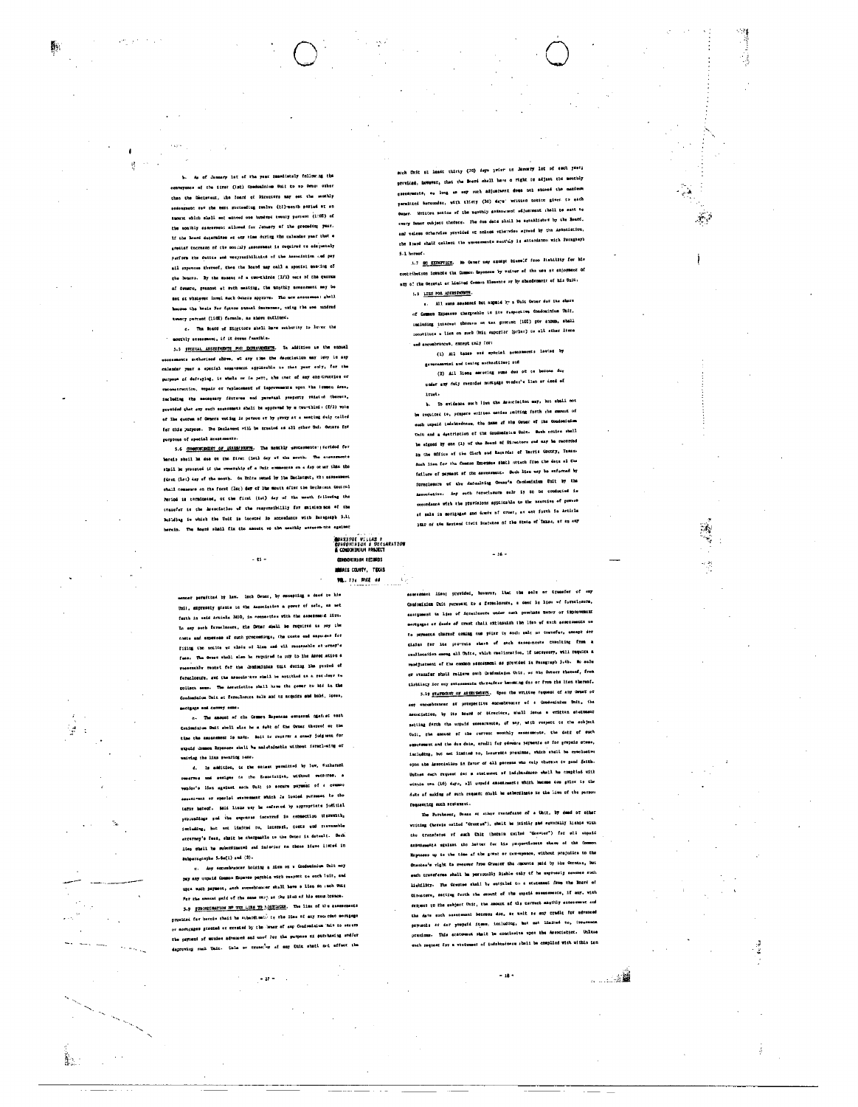4

أوالي

her at the wear immediately following the of the iirst (lat) Condominion Unit to so Owner other than the Dectavent, the loand of Directors may set the senthly ossenment for the maxi succeeding twelve (tl)-month paried of an asount which shall not azoned one hundred twenty parcent (1982) of the monthly esseernest allowed for Jenuary of the preceding year. If the hourd determines at any time during the celendae year that a gresist theresen of the monialy secosmant is required to adsquataly serform the dutine und vesprasibilinies of the Association .ed pay all expenses thereof, then the Board may call a special man-lug of the Swanza. By the sessent of a two-thirds (2/3) vers of the quores of Ormero, presnot at such mesting, the unothly assessment may be not at whitever lived fluch Osners approve. The new assessmen: shall hecous the hesis For foture annual instemmes, using the see undred twenty percent (110E) formula, as absent outlined.

c. The Board of Dispetors shall have authority to lover the monthly admosphent. if it downs funnible.

5.5 SWITCH, ASSESSMINTS FOR DIFFERENTS. In addition to the ennual s extherined above, at any time the Association may levy in any calandar yuar a spenish assurement applicable to that yuar only, for the purpose of defrejing, in whole or is part, the chet of eny con-truction or .<br>racometrustion, vepair or replacement of improvements upon the lommon ires. including the mecessary fexterse and passensal property raisted therein, provided that any auch seasonstate shall be upproved by a two-third (f/3) vote .<br>of ibs quorum of Owners woting in peteon or by proxy at a meeting duly called for this garposs. The Declasent will be treated as all nther Unit Ornars for purposos of apecial zeonements.

5.6 COMMERCIPORET OF ASSESSING The nonthly essessments perfect for Noreio shoil ha due on the first (let) day of the mooth. The susessments shmil be provated if the community of a Doix commences on a day ot art than the first (lot) day of the month. On Unite owned by los Decletest, the essessment chall commence on the forst (Ist) day of lbs mouth afier the Declerant Coutral Period is terminated, or the first (ist) day of the month following the transfer to the Associatise wf the resystatbility for existen mos of the Building in which the Unit is tocated io accordance with Maragraph 5.11 herein. The Roand shall fix the amount so the menthly essent uts against

 $-$  es  $-$ 

**GUNRIPOE VILLAS P<br>CONOONINIUM & DECARATION<br>& CONOONINIUM PROJECT** 

CONDITIONS RECORDS HAMAIS COUNTY, TEXAS VOL. 734 PAGE 44

peruficied by Law. Inch Owner, by mecapring a deed to his Unii, expressly grante to the Association a power of sato, as not ferth in esid irticle 3810, in connection with the separament litu. La auy such fereclasure, the Dracr abell be required to say the costs and experiese of such proceedings; the costs and sapoises for Fiing the sories we cloim of lise and sll resseable at orney's feas. The Ownes shall also be required to puy to the Association a massmable rentet for the deminsions this during the period of formalomurs, and the Association shall be antitled to a requirer to collect ssus. The Assaciation shall have the gover to hid in the Condominium Unit at Persulature sale and to arquirs and hold, 10000, mechanic and convey same.

.<br>.c. The amount of clo Common Expensas extrasted against each Conjominium Unii sbell miso he a dybr of the Osmar thereof or the time the essentant is made. Suit to recever a somey judgment for expedd themos Expenses shall be maistainable uithout ferechesing or vairing the line securing same.

d. Is addition, to the senast permitted by low, Gathansel construe and assigns to the Brenciation, without successe, a venior's lien ageinst mach Unit io secure perman of a common assistent or special sessenset which is louisd pursuant to the terar heteof. Said liens way he enforced by appropriets judicial yrorsudings and the ouponsas incorred in connection theresich, including, but not iiniced to, incernal, costs and reavenable atternoy's fees, shait be chargeable to the Owner in detect. Such ites shall he subcritested and inferior to these Biano listed in Subparageophs 5.6m(1) and (2).

c. Any excumbrancer holding a lien on a Condominium Cult mey pay any unpaid Common Expanse payable with seapect to onch tuit, and upra such payment, anth entenbrancer shall bewe a lies so such Unit For the smoont paid of the same very as the idea of his enem hrance.

5.9 FURNESTMATION HP THE LIBS TO MAILLIES. The lists of the asses .<br>Frumidad far baroin shaid he submitibati tr the line of any recurded mortiage or marticulars granted or created by the locar of any Condominium (hit to secure the psyment of woutes advenced and used for the purpose of putchesing and/or degraving such Unit. Sale or trensity at any Unit stati not effect the

 $\cdot$   $\theta$  -

such this at least thirty (30) days prior to Jammry let of each yast; previdad, however, that the Board chall have a right to adjust the monthly ossessuects, eo long es eny such adjustanti doss nol azones tho maximum parmitted hereunder, with thiery (30) days' written notice given to sach Owner. Written motion of the neothly assassment edjusteent thall to mant Bo every Camer oubject thereto. The due data shall be setablished by the Board. and valess otherwise yrevided or anluse orberwise spread by the Asocciation, the Board shall collect the wavescoments menting is attendance with forageaph 5.1 humof.

5.7 80 EIEMPTIGH. No Owner may axotpt himself from linkliky for his contribution lowards the Common Expenses by waiver of the use of dajoyment of any of the Occaval ar Limited Common Elements or by absodemneit of his Unit. 1.1 LIBS FOR ASERSBORITS.

s. All suns seements but nopmid by a Unit Owner dut its share of Common Expenses chargesble to its respective Condomisium Unit, tecluding interest there's on ten precise (102) per sinon, shall constitute a liem on much Unic superior (print) to all sther liens and aneumbrances, except unly for:

(1) all taxes and opening notes geveramental and texing exthusities; and

(3) All liens seconing sums due of to become dur under auf duty recorded nortgags vender's lien av deed of iract.

b. In evidence such live the Association may, but shall not be required to, prepare written coties smiting forth rbm supenst of such uspaid indebredonas, the name of the Owner of the Condominium Unit and a dystription of the Condomisian Dais. Such netics shall be signed by one (1) of the Roard of Directors and may be recorded in the Office of the Clark and Macardas of Barrie County, Tenas. Such liem for the Common Emperase shati uttech free the date of the failure of payment of the assessment. Such lies may be exformed by foreclosure of the defaulting Owner's Comientatum Unit by the -<br>Association, Any soch foreclaming safr iy to be conducted is secondanne with the provisions applicable to the meercino of powers sí sale in morigages and úmmée af crust, av ent forth in artirle **JELO of the Earlend Civit Suatutes of the State of Texas, at an any** 

 $-16 -$ 

saerescent Alen; provided, however, Ibat the sale or trensfer of any Condominium Unit pursuant to a foreclorurs, a deed in lies of foreclassrs, sabigument ta liso of icreologare under such porchass mency of improvement mostgagna of damde of trust chall extinaudeh the line of such asentaments no to suyments thatsof coming ous point ty each sale or trensfer, camept dor claims for les pro-rute shore of such sassentrote casulting from a reallocation among all Units, which melintation, if necessary, will require a ventjustment of the common pascisment as provided in Paragraph 5,4b. Ho sale or rransfar shall relieve such Condomingum Usir, ur thy Owners thereof, from tisbiling for may extensusts therefore becoming day or free the lien thereof. 5.19 STATEMENT OF ASSESSMENT. Upon the writtee request of any Owner or

auf snowebrancer at prospective ducumbrencer of a Constaninium Unit, ibs Association, by its Moutd of Directors, mindl issue a critten statument metting forth the unpaid essestavote, 4f sny, with respect to the achiect Coil, the smount of the rurrent monthly sessenters, the dati of such ussussment and the dus data, aredit for odvents payments or for prepaid others, including, but not limited to, insurance presions, which shall be extelusive opna the Associalion in Fator of 411 percens who culy thorsen in good feith. ...<br>Untnes such request der a stalament of lad.btedneer shall he comption with within two (10) days, all unyoid ansensments which become due grior is the dets of making of suth request shabl be exberdizets to the hims of the person requesting each scotament.

The Porchoser, Dosse at ather twensfeate of a Unit, by deed or olber writing (hereis celled "Grentsa"), shalt be jainlig sad esventally liabia vith the transferos of auch Unit (herein twiled "Granter") for all unpaid senst-mathi worders the latter for his proportioners shave of the Co Expanses up to the time of the grant or conveponce, without projudies to the Grantes's right to recover From Grantor the imputes paid by the Grentie, but such cranaferss shall be personilly 21able caly of he expressiy senames such Mightlifty. The Grentes shall by sutitled to a statement from the Board of Directors, secilum forth the emposit of the coptie esseemments, if any, with respect to the subject Onit, the amount of the correct angihly essessment and the date such secondant borcoon duo, as well as any cradic for advanced payments at dar yropatd itms, including, but not himited to, irourance presions. This atatomet shall be conclusive upon the Association. Unless .<br>such reguest for a wtetgmmat of indubtedness shell be complied with withio fer

. . . . . **. . .** 

L.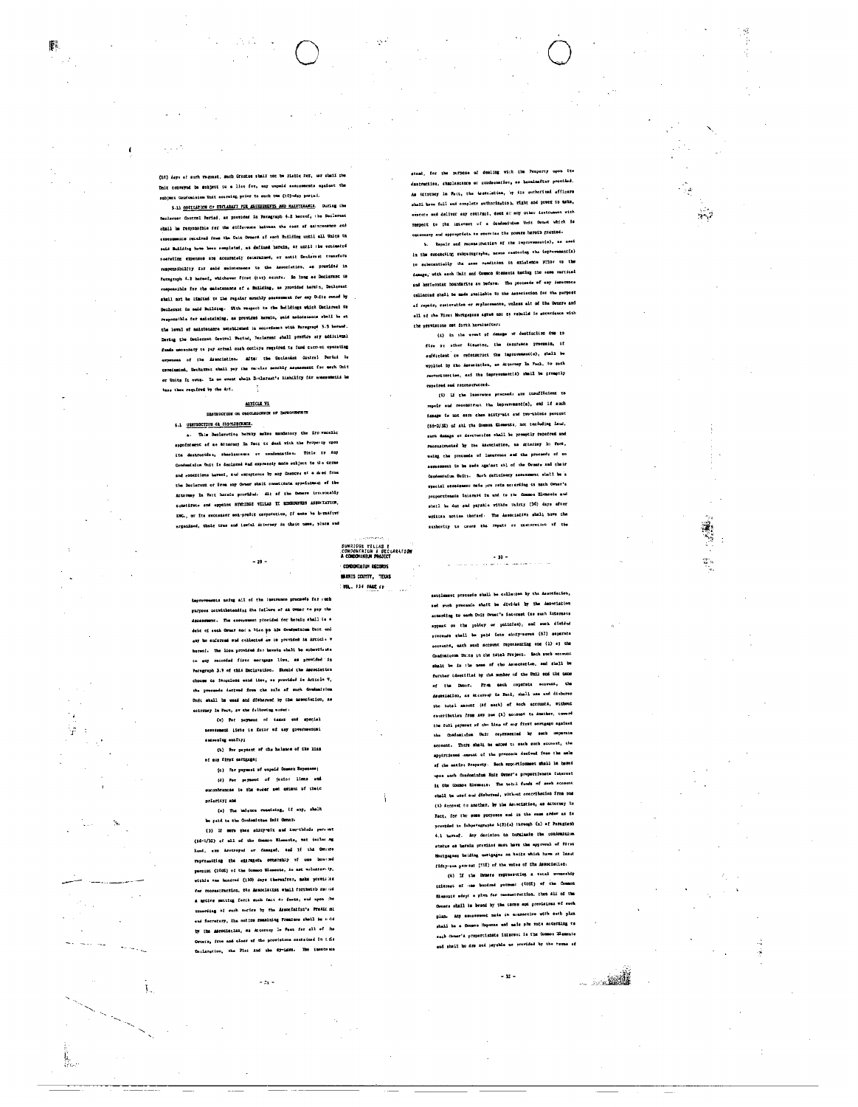$\alpha$  and  $\beta$ 

縣

5.11 OBECGATION OF DECLARATY FOR ASSESSEERTS AND MALETERARCE. During the larset Contral Pariad, as provided In Paragraph 4.2 hereof, the Declarent chall be responsible for the difference herman the cost of asintenance and assessments received from the Usit Owners of each Building until mil Units to caid Building have been completed, as dafined herein, ar until the cotinated poerating expenses are accurately decermined, or until Declarest trensfers responsibility for said maintenance to the Association, as previded in Parmgraph 4.2 hereof, whichever first (tat) accura. So long as Declarenc is xasponsible for the saietenance of a Building, as provided herein, Declerant shall not be idmited to the regular monchly sessenment for any Outto owned by Declarent in said Building. With respect to the Buildings which Declares! It responsible for asietaining, as provided herein, said asietenence sbell be at the level of maintenames sateblished is accordance with Paragraph 5.3 hereof. Dering the Declerent Control Perind, Declarent shall provide say additional funds unceptary to pay actual cash outleps required to fund current operating axpenses of the Association. After the Doclacent Contral Peries is coreinsied, Decharmet shall pay the requier senthig assessment for early Unit or Units it eves. In so event shall Diclarent's Hishility for measurements be lass than required by the Ant.

#### ALTICLE VI DESTRUCTION ON ORGANISERIES OF DEFICIENTS

# 6.1 UNINOCIJON 44 OISONINGER.

a. This Beclareting hereby makes mandatory the Srowsmanlie eppointment of as atturney in Fact to deal with the Property upon ite destroccise, sheclascence or condennation. Title ir Any Condomision Unit is declared And expressiy made subject to the corne and conditions haven's, and emptunes by any frances of a dead from the Declarenc or From any Owner shall constitute appaintment of the Attorney In Fact baraio provided. Alt of the Osmars irrevocably constitute and appoint summittes villas II confidents association. ING., or its seccessor son-prodit correction, if ease he hereaftyr urgenized, their true and lewful attorney in their uses, place and

 $-19 -$ 

SUNRIDGE FILLAS E<br>.condoninium & Deciaration<br>A condoninium praject

CONDOMIQUE RECORDS .<br>Winris County, Tekas VOL. 134 PAGE 29

ots medus all of the Insurance proceeds for such purposs notwithstanding the feilure of an Owner to pay the .<br>mr. The assessment procided for borely shall is a debt of sech Orner sad a Hise po his Gondoninium Unit eni any bo enforced and collected as is previded in Article w serent. The line provided for herein shall be entertions. to any recorded fires mortgage live, as provided in Paragraph 3.9 of this Declaration. Should the Association choose te fereciose eaid liet, as provided is Africia T. the proceeds decived from the sale of each Condomition Unde shall be used and dishared by the association, as actrimey in Fact, aw the frihowing under:

(w) for payment of taxes and special assessment lighs is fator of any governments: samming entity;

(b) for payment of the holence of the line of aup first cathoaga; (c) For payment of unpeid Common Buy

(d) For perment of junior lines and exceptrances is the order and extent of their priericy; and

(a) The balance consideing, if any, shall be paid to the Condomicton Unit Owner-

(3) If sers thes slity-six and inv-thleds perment (6d-1/32) af mil of the formon Elements, nat including land, are deveroped or danaged, see if the Oming representing the oisrance overship of one beared percific (1002) of the Common Blaments, is not voluntarity, -<br>wishia one hundred (190) days thereafter, make yrovicles for reconstruction, the Association etail forthoist races a occlee metting forch such fact ar facts, and upon the recording of such contes by the Associativa's Prasidual and Secretary, the notice remaining Freniums shell be sold by the association, as Accoroxy le Pack for all of the Orners, from and clear of the provisions contained in 1.15s Inclaration, the Plot And the Sy-Laws. The insectrics

 $-24$ 

for the purpose of dealing with the Property upon its destructios, shaplescence or condeenatior, as bereinsiter provided. As Artorney In Fact, the isstolation, by its sutborized afficers shall have full and complete authorization, right and power to make, executr and deliver any contract, deed at any other isstrument with respect to the interest of a Condominium Unit Ovnet which is coconesty and appropriate to exercise the prests harnin granted.

 $\sim$ 

 $\mathfrak{T}_{\mathcal{C}}$ 

Repair and reconstruction of the improvement(s), as used In the succeeiing subparegraybe, nesns restoring the impour est (a) to esternationly the sees condicion in existence prior to the damage, with each Unit and Counce Statests hacing the same vartical and horicontat boundarine as before. The process of any insurrence of repair, sustointion or seplecements, unless alt of the Densite and ell of the First Hortgagsse agree not to rebuild is accordance with the provisions out forth hereinsfeer:

(4) in the event of demage or destinction due to fire or other fisation, the insurance processe, if sufficient to reformatuck the improvement(s), shall be wpplied by the Association, as Attorney In Fech, to sath reconstruction, asi the improvement(s) shall be promptly rapeired and reconstructed.

(i) Li the inserance proceeds are insufficient to repeir and recomments the imprevenences, and if much issues is not seru chem sixty-ait and two-thirds percent (66-2/32) of shi the Domeon Elemente, not teniuding land, such danage or descrucifes shall be promptly repaired and recommented by the association, as Attorney In Pact, using the propeeds of ineurence and the proceedy of enexperiences: to be note against atl of the Orsers and their Condominium Unit:. Such daficiancy assassment whall be a eyacial assessment mais pro rete noresting to mach Owner's .<br>mhatl be dus sud payahis within thirty (34) days after writts: notice thereof. The Associative shall beve the sushortcy to caunt the rapair or custuration of the

pracuado shall be crilented by the Association, ned with processio shatt be divided by the Association scoreing to each Unit Depar's interact (se such interests appeat on the policy or policies), and such divided specends shell be paid into einty-seves (57) separate scounts, mach such account representing one (1) aj the Condominates Units in the tatel Project. Each such account shalt be in the name of the Association, and shall be further identified by the member of the Unil and the name of the Orner. Frum sach nopatate account, the descriation, as Arteroap in Faci, shall use and disburne the total assumer (af each) of acch accounts, without contribution from 107 one (h) acopust to inather, twent the full payment of the line of any first sertings against the Condesivius Unit represented by such separate acrount. Thurs shall be added to each such account, the appirtioned musuat of the process decived free the nele of the entire Property. Such sppertionment shall be hasned upes anch fondominium Snit Owner's proportismate interest is the Common Elements. The total funds of seek account shall be used and disberead, without contribation from one (5) Account to another, by the Association, 40 Aktorney In Fact, for the some purposes and in the same erder as is provided is Subpacagraphs h(2)(a) threogh (n) of Paragraph 4.1 haresf. Any decision to turninate the contominium status as berain previied mast have the approval of Pirst thernesses belding sorigages on huirs which have at laser fifty-sea parent [315] of the votes of the Association.

.<br>(4) If the Orners representing a cotal constabily internat of one beedrad pornum: (1000) of the Common Blaziuté adopt a plwn for recensivation, then All of the Omnes shall is bound by the carse and provisions of such plan. Any sensessent nain it connection with such plan shall be a Common Hopenna und mais pre rote accepting to sach Chenar's proportionate interest is the Common Elements end shall bo dre sed payable us provided by the terms of

 $-32 -$ 

أأشن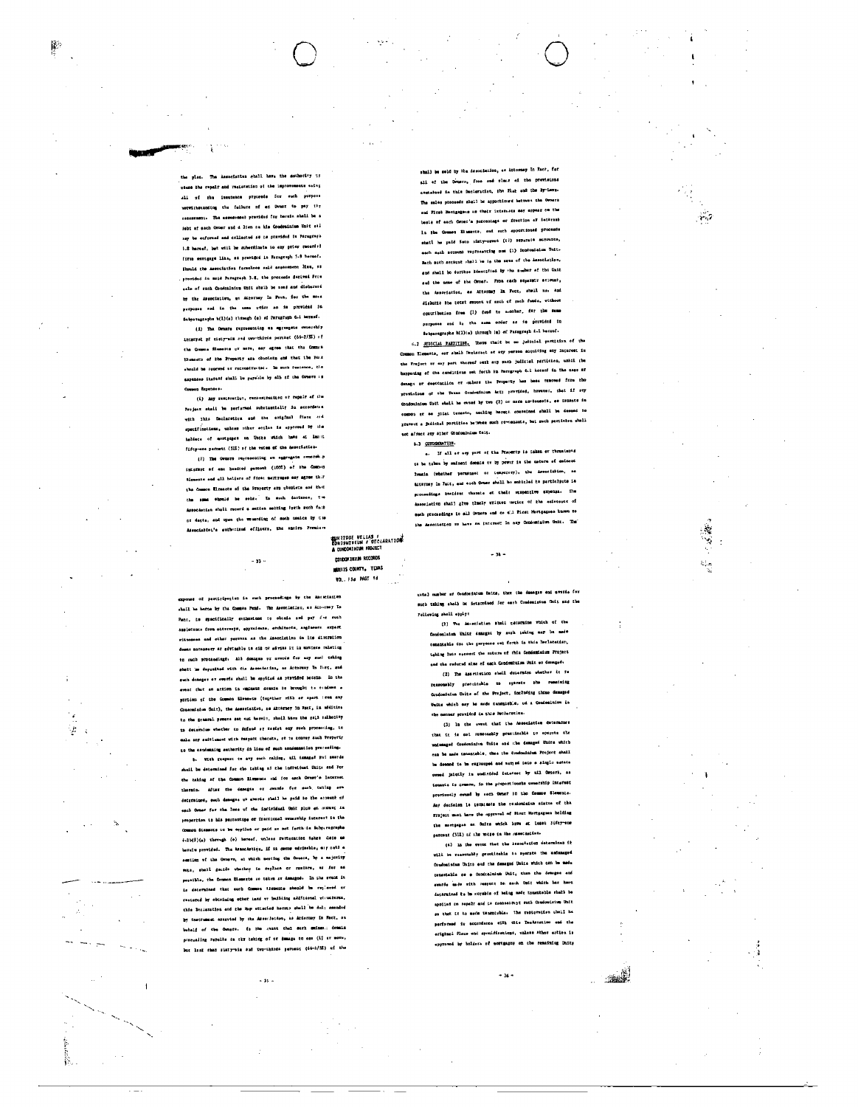**station shall have the suthority to** where the repair and restauration of the impr .<br>Circulos all of the insutance pryceeds for auch porpose sorvitheranding the fullere of an Dener to pay tip .<br>. The assessment provided for berein shall be a **Sebt af sach Owner aud d'Isem on hie Condominium Unit sta** say be enformed and collected as no provided is Paragraph 5.8 harvaf, bet will be subersizate to any prior recented first wortgage like, as provided in Paragraph 5.9 horsed. Should the Association fareshess said assessment line, 41 provided in moid Paragraph 3.8, the proceeds desived Prix eale of ruch Condomlaium Unit shaib be ased and disburent by the Association, at Attorney In Pact, for the moss Subpatagraphs h(1)(s) through (e) of Paragraph 6.1 hereof.

膠

ş

(i) The Druste representing on agreegate conserebly internat of cisty-aix and con-thirds perchet (66-2/33) +f tha Quasos Slessons or sore, sey egree that the Comun themests of the Property are obsolets and that the Form checké he reserved of recognitivited. In such fusionce, the axpanses thatchf shall iw payable by all of the Owners : s Comou Expenses.

(i) day restaration, reconstruction of repair of the Project shail be perfatted substantially in eccordence with this Declaration and the original Piens and specifications, unless other series is exproved by the -<br>hakšeca of mortgages on Unite which have at lengt fifty-nos percent (51%) of the vetes of the Association-

(7) The Owners regressing an aggregate awnership intamest of one handred parcoust (1003) of the Comput Blements and ell holders of fire: mertynges may agree the Common Elreaots of the Property are chemists and Hast the sums objected he solds. In such instance, the Association shall record a ention setting forth such fact of facts, and upon the vemerding of such nasics by the Association's eutherised efficers, the ancire Fremium

 $-33.$ 

**SUN IIDGE VILLAS #**<br>CONDDMINEUM # DECLARATION<br>A CUNDDMINEUM PROJECT

CONDOMINIUM RECORDS

**MARILES COUNTY. TEMS** VOL. 15d PAGE 1d

**sedings by the Abunciation** exponse of partiripation is such pr shall be berne by the Compan Pend. The Association, as Attorney In Pace, is specifically suikorined to obisis and pay for such samietusca from etturneys, appraienza, architects, angineers sxpart witnesses and other persons as the ineocletion in lie discretion depas monnessry ar gévinebly te ait or atviss it in matters calating to such procaedings. All demoges or avards for any such taking shalt in depreited with the desociation, as Actoresy In Det, and such damages or overds shell be opptied as provided becain. In the event that an action in eminent deals to brought to conduct a purtion of the Common Elements (together rith or epert iron any Consominium Unit), the Assosiation, as Afternoy in Fact, is addition to the gonaral powers set sut herein, shall have the ssil sulhoitty to determine whather to dofend or testet eny such processing, to mals any saitlement with respect thecate, so to convey such Property to the condensing exchanicy in lieu of such condensation proceeding.

b. With respect to any such caking, ail ismand Ful swords shell be determined for the taking as the individual Unite and For the taking of the Common Riversen and for each Osmer's Lacarest thornin. After the desegne or awardo fer such taking are dateratures, such desagns ut averse shall be paid be the storent of each Orner for the loss of the individual Unk plus on context in proportion to bis percentage or fractional urmarship interest is the .<br>Common Stammats to be applied or paid as met forth-le Bubp,regraphs  $6.2b(5)(a)$  through  $(e)$  bereof, unless retteration iskes there as eraiu provided. The Association, if it demu edviseble, m:y cutl a seating of the Owners, at which meeting the Owners, by a majority vors, shell genies whethor to replace or mustare, as for an posaible, the Common Elemete so takes at damaged. In the synck it Le determined that outh Comos Hendais should be replaced or rastored by obtaining other inni ur building additional structures. this Declaration and the Map etteried horsts shall be dul; smanded by inactument azazuted by cha Assoriation, as Atternay In Fact, on butaif of the Omnes. In the swatt that such maines: demain procession reveals in the taking of or demage to see (if or move, .<br>but lask than sixty-six sud two-thirds percent (66-1/32) of the

 $-35 -$ 

.<br>193 în Pact, foi shall be sold by the desociation, as Asto all of the Densen, free and olear of the provisions comtained is this Declaration, the Flat and the Sy-Laws. The sales proceeds shall be apportioned between the Owners and First Hortganson as their interests may appear on the besie of each Orce:'s porcentage or fraction af iethrash In the Common Eliments, and such apportioned proceeds shatl he paid Seto Hitty-seven (17) separate encounts, each mach scrount representing oue (i) Condomisium Unit. Each such account whall be in the same of the Association, gnd shall be durthes Sdentified by the susbar of the Unit sad the name of the Owner. From each separatr economithe Ameriation, as Attorney In Fact, shell no. and dishutte the totat supert of such of such funde, without contribution free (1) fund to avoiter, for the same purposes and is the same order as is provided in swipersgraphs h(2)(a) through (a) of Paragraph 1.1 hereof.

6.2 RUBICIAL PARTITION. There that be no judicial partition of the mos decorate, est shall Merketest of eny person acquising any interest in the froject ar eay part thereof weth any such judicial particles, unhil the bappaiding of the conditions set forth in farmyraph 6.1 hateof in the case at danago or deetcuciion er unlurs the Froperty hee bees removed from the provisions of the Taxas Osminginium Act; provided, however, that if suy laium Cott ehmli he ovand by two (2) or more no-bomesis, es isamore in er se joist tweetn, noching heret: concelond shall be desped to pravest a juilthal portitioe between much rowements, but auch pertition shall not affect any siner Combuinium Celt.

6.3 CONDIGENTION

4. If all at any part of the Rejects is taken or the te be taben by eminent domain er by powir in the nature of exinced 20maia (whether permenaet or temporery), the Association, es **Arterney In Fact, and each Ocear shall be entitled to participute is** proceedings booldent champic at their respective axpense. The association shall give thatly written motion of the existence of such precessings to all Owners and to all Pices Hortgagess hanna to the Ameriation to have an interest in may Condominium Unit. The

cutal mumber af Condominium Daits, ther the demagam and averds for such taking sholb be istarrized for each Condesistum Unit and the Fallowing sholl apply:

 $-34-$ 

(2) The Association shall penersine which of the Condominium Units damaged by such taking map be made canamiskis dos the garposos sut forch in this herlaratism. tabing 2nto access: the nature of this Condentaium Project and the reduced aims of each Condominium Dair on demaged.

(2) The Assertiation shall deparates whether it re rensonably practicable to operate the remaining Condomisium Units of the Project, including those damaged Units which may be made tunniteble, od a Condesimium in che nanner provided in this Declaration.

(3) In the event that the Association determines that it is out romoscably practicable to operate the undesaged Condominium Unite and the damaged Unite which can be made troestable, thee the dyndominium Project shall be deannd to be ragrouped and worred toto a singlu nature owned jaiotly is undivided icletest by ail Owners, as tenants is common, in the proportionate ownership interest provisualy owned by sech Omner in the Common Slements. day decision is temminate the conformation status of the Project must have the approval of First Hortgagnes bolding the mortgages or Onics which hows at lesst jifey-sm percent (SII) of the worse in the resectants.

(4) In the event that the Association determines it will be reseonably precticable to operate the andamaged Condominium Units end the damaged Units which can be made canastable se e Condisituium Unit, than the demages and synfor mode with respect to mach tect which has hord nad ts bu noyabin of belog mede tomentable shalb be apoiled to sepalt and is canonality: such Condomisium Unit so that if is made tenentyble. The restoration ubell he performed to accordance with this Dealeration and the erighmei Plaus and sponifications, unless ther estion is approved by holders of mortgagny on the remaining Dairy

 $-36 -$ 

. je p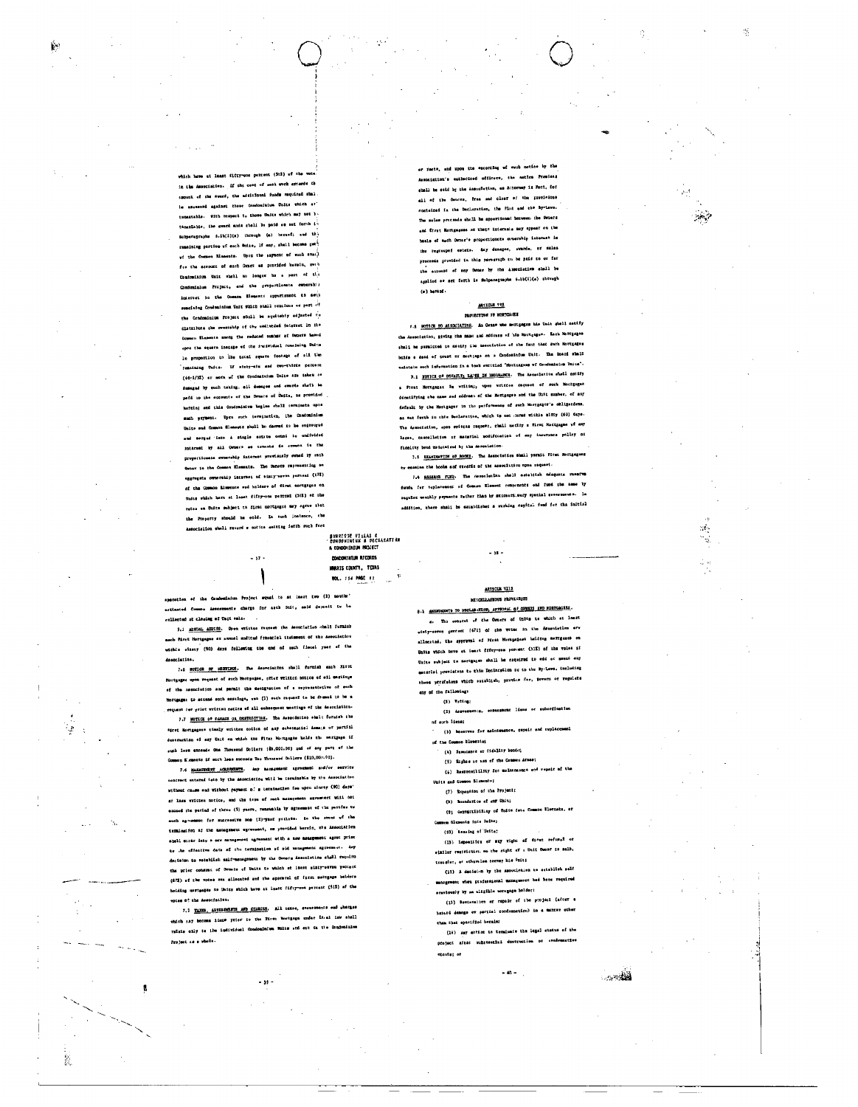which have at least fifty-one percent (3t1) of the In the Association. If the cost of each work exceeds the emount of the weard, the additional funds required shall le seconded against those Condomition Units which at tementable. With respect to those Units which may net ). tannolable, the award must shall be paid as set forth in supporagraphs 5.1b(2)(s) through (a) hersef; and the remnining portion of each Unite, if any, shall become perwf the Common Blancots. Upon the sayment of such avail for the account of such Deart as provided barain, such Condeninium Unit shall as longer he a part of the Condeminium Project, and the preportionate comership interest ha the Cosson Elements appurtunest to sett remaining Conductatum Unit which stall continue or part of the Condomisium Project shill be squitably adjusted to distributs the ownership of the undivided interest in the Counces Elements should the reduced number at Denets haved open the square instage of the insistiduel remeising Units le proportion to the total squere footage of sil the remaining Calis. If sisty-six and two-thirds percent (66-1/32) ar mora of the Condensiutum Unite are taken as danaged by euch taking, sil danages and awarde shat) he pafá in the ecounts of the Draste of Daits, as provided hatcla; and this Condominium Reglas shall terminate upos such yayment. Upre such termination, the Condominium Unite and Common Elements shull be dered to be sedroughd end nerged isto & stagle estate owned to undivided interest by all Overce as traints do comon is the proportionate ovnecably internet previsualy ovned by sach Owner is the Common Elements. The Owners representing an eggingate ownership interset of sixty-seven parsent (c)2) of the Common Elements and holders of first mortgages on Units which have at least fifty-one percent (512) at the rates on Unite subject to first mortgages may earne that the Property should be cold. In such instance, the Associalion shall record a motion eacting fetth such fact

SUNRIDGE VILLAS E<br>CONDONINIUM 8 DECLARATION A CONDOMINIUM PROJEC CONCOURATION RECORDS MARK CONTY, TEXAS **VOL. 154 PAGE 91** 

specation of the Condouiaium Project squal to at least two (2) nouths netimated Common Assessmente charge for anch Unit, asid depenit to be cellected at closing of Unit enla-

 $\big)$ 

 $-37$ 

7.1 ANNUAL AUDING. Open writtes rageest the Assuriation shall furnish ch Pievs Horsgegee as annual audited financial italement of the Americation within sinary (90) days following the end of sach fiscal year of the description.

7.6 NOTICE OF MENTING. The Association shall furnish each First Mortgager upon request of exch Mortpages, ofter written notics of edi martings of the mesociation and permit the decisionics of a septementative of such Mortgage: Lo attund soth esstings, van (1) such request to be dramad to be a roquest let yriot writtem matite of all onbeoquest mantings of the Asecclaiion-

7.7 MOTICE OF RAMAGE OR DESTRUCTINE. The Association shall furnish the Pirat Mostgagens timmly written obtica of any cubetantial damage of partial destruction of may Unit on which the First Mortgages holds the nerigage if such lare exceeds One Thoussed Doiters (\$9,000.00) and of any pack of the Common Elements if such loss succeds Too Thomased Dollars (\$10,000.00).

ig.

夏

7.4 HAELOTHERT AGREEMEN. Any management agreement and/or service reet antared isto by the desocietios witi be tarminable by the Association without cases and without payment of a termination fee upon sincty (90) depa wat agenerant Will Mac at lass vritten notice, and the term of such manages exceed the poriad of three (5) years, renamelie by sgreenest of the parties to nut for successive one (2)-yast yerivie. In the swaat of the .<br>soch og me termination af ihe management spresmant, as provided berzin, che Ameoniation shall exist laty a new nanagement ugrassant with a new assegment sprat prior to the effective data of the termination of old memorandic agreemets Any decision to satebilish salf-management by the Owners Association shall require the prior consume of Denare of Units to which at lesst minty-eaven pathod (d)I) of the votes are sliecated and the apsearsl of first matrizage beliers bolding mortgegue no Units which hove at least fifty-one percent (513) of the when at the Augustations

7.1 TANKS, ASSESSMENTS AND CHARGES. All texas, researchers and charges which say become limps prior to the Fire: Mortgage under In.el law shall ražais oliy ta the individual thencominium White and art ca the Ormicaliium Project ca a whole.

. 33 -

1

er racte, and upon the encording of euch notice by the Association's authorized officers, the native Premies shall be sold by the Association, as Attorney in Mant, for all of the Owners, free sed clear of the provioions contained in the Beclaration, the Plat and the By-Lave. The males proceeds shall be apportioned between the Deneta end first Mortgagess as thete intereste may appear on the basis af mech Owner's proportionate ovnership istemet in thu regrouped estats. Any denages, auntis, of sales proceeds provided in this paragraph to be paid to or for the extense of may Owner by the associative shall be applied ee set forth is Subparageaphs 6.1b(1)(a) through  $(e)$  hereof.

Ą,

 $\sim 2$ 

4€<br>Dr

# MILLES VIZ PROTECTION OF HORIGAIES

7.1 ROTICE TO ASSOCIATION. An Ormae who mentiones his Unit shall netify the Association, giving the mans and address of the Hortgages. Each Mortgages shall be paraicted to notify the Association of the fant that such Mortgages boids a dead of trust or sortings on a Condominium Unit. The Board shall ualstain such information in a took entitled "Mostcagess wf Condomisium Unica". 7.1 MOTICE OF DEVAILT, LANGE IN INSURANCE. The Astaclation shall necessy s Pirat Mortgagas Su vritim), upon uriscon coquest of mech Moctgeger ddnatifying che name and eddress of the Mortgages and the Unit sumber, of say default by the Hostgagor in the parformance of such Nortgagor's obligations

as ant forth in this Declaration, which is not murss within altry (60) days The Association, open switche request, thall notify a first Mocinegue of any lages, cascelleties of material modification of any insurance policy of fidelity boud usionated by the Association. 7.1 EXAMINATION OF ROOKS. The Association shall parmit first M

ty essains the hooks and receits of the association apon request. 7.4 855ERVS FUED. The nesocieting shell establish plaquets reserve regular unuthly psyments rether than by sxtreers, oury special seems sents. In addition, there shall be satablished a working capital feed for the initial

 $\ddotsc$ 

ARTICLE VIII

# MINGELLANDOUS PROVIDED

8-1 expressers to section them, approach of county are seatchests. s. The constat of the Owners of Onits to which at least ity-serve parcent (6711 of the wotes in the Ameniation arv allocated, the approval of Morat Hortgagest baiding merogases on Units which have at ieast fffey-one percent (31X) of the volet if Coite subject to mertgages shall be raquired to edd or means any

material provisions to this Declaration or to the By-Lave. theluding these presisions which satablish, provice for, zevern or regulate any of the fallowings

 $(2)$  Vating?

.<br>(1) Assossence, espessment limms or subordination nf such liens: (3) hearves for asintenance, repair and ruplace

of the Common Disnessor

(4) Sasocance ar fidelity bonding

(5) Eights to ass of the Gramon Armee; (6) Responsibility for meIntnesses and repair of the

Units and Common Elements: (7) Expending of the Project;

(b) Roondarice of our Unit;

(9) Convertibility of Units foto Common Blochsta, o Common Blements into Onite;

(20) Reasing of Uniter

(13) Imposition of any vight of ficat refused or einiler restriction, on the cight af : Unit Owner to selb, traugier, or othersles nonvey his Onit;

(12) A decision by the Association to actualish self management when professional management had been required

ermutous) p by an aligible woregage holder: (13) Restoration or repair of the project (after a besité demoge ov partial rondommation) in a manzer other

shee that enacidied begain: (14) Any action to terminate the legal status of the project aftat substeatina duetruction or cendemnaties

 $-40 -$ 

ntoute; or

أقلعتهم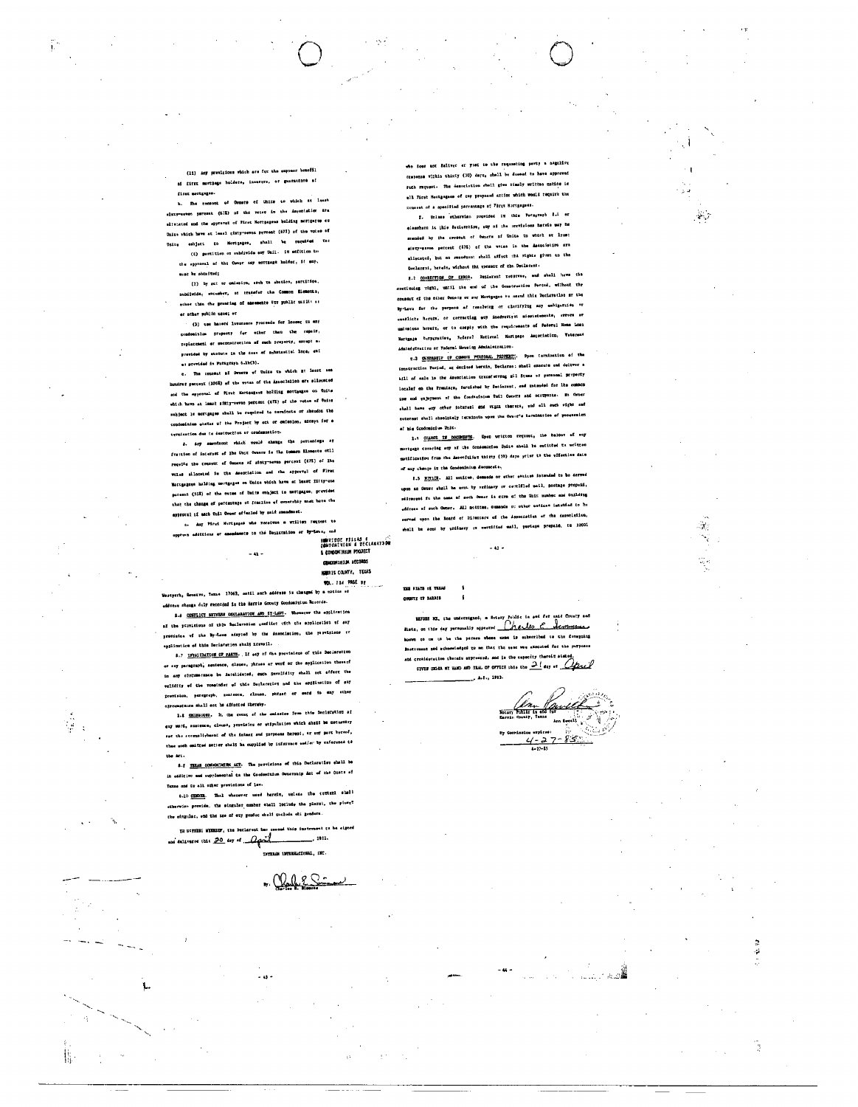(11) Any provintous which are for the express bracfil ai first mortzage holders, insurres, or guarantors af first mertgages.

b. The consont of Omners of Units to which at lesst correstes parcent (673) of the votes in the Amroclation Arm alteinted and the appresst of First Nortpagess holding mortpages or Units which have at least gimty-meyon prreent (673) of the votes of Unity eshiett to Hortgages, shall be required to:

(t) partition or subdivide any Unil. It addition to the approval of the Owner say mortgage holder, if may. mint he obtained;

(2) by ect or oniesirn, sorh to ebenion, partition. bubdivida, sacusber, or transfer the Common Elementa, other than the granting of assessate for public ucili as or other public uses; or

(3) use haserd lusurance proceeds for losser tu any condominium property for other than the rapsit, niplecement or reconscrection of such property, ascupt as provided by stotute in the ness of schatzsticl loca, enf a: previded in Paragraph 6.15(3).

c. The cousest of Owners of Units to which it least ess ires percent (1002) of the votas of the Assoc2al100 ers sliotated and the approval of Fivet Mortesgars holding mortauges on Unite which have at least sitty-seven percent (673) of the votes of Units subject le mortgages shall be required to sevainsts or absodon the condominium etatus uf the Project by act or omisolon, michet for a trapisation due te destruction ar condemnation.

d. Asy amendsont which would change the percentege ex .<br>Frestion of internat of the Unit Owners is the tommon Mismoste otll requite the consum of Ounces of sinty-sevan percent (67E) of lhe voles sliecated is the Association and the approval of Firer Mortgegous holding mortgeges on Unica which have at lesst fifty-one paramet (51%) of the cutes of Unite conject to mortgages, provided that the thange of percentage of fracitos of ownership must have the epproval if each Unil Owner affected by said smandmast.

n. Any Pirei Mortgages who receives a written reapost to orona additicas er amendannte to the Denirralion or By-Love, end 

A CONDITION POOJECT  $-41 -$ **NURSIS COUNTY, TEXAS** 

CONDON INTENT RECORDS

**VOL. 714 PASE P2** 

rvo, Taxae 17063, ontil such addrums is changed by a notice el .<br>Vestpark, Go eddonau change duly renocded in the Harrie Gouviy Condominium Resorde. 8.4 CONTLICT BETWEEN DECLARATION AND UZ-LAWS. Whenever the application

of the porvisions of this beclevasion gomfifet with the application of any provision wf the By-Laws adayted by the Axeociation, the provisiens of .<br>...tinucion of this Declaration shall itsveil.

8.7 INVALUATION OF PARTS. If esy of the provisions of this Declaration or any paragraph, sentence, clause, phrase ar worf or the application therarf in any circumermace be intelideted, such Envelidity shall ost effect the volidity we the remainder w? this Deplacation and the apgilantium of say provision, paregraph, sentence, clause, phrash of eard in any other matesco mhall act be affected thereby.

1.8 ONISSION. 2, the event of the outsetos from this Declaration of eny Mord, amatemen, clause, provisiou or ethywlation which aheal be decustery sor the accumpli-based of the intent and perposas bereof, or suy part bereof, thee unth control setter shall is cupplied by informace emain by raference to the Art.

Ý

描

3.1 IELAS CONSONINIVA ACT. The provisions of this Declaration shall be in edditive and supplemental to the Coefordnium Constabin Ant of the Oren of Taxas and to all other previsions of law.

6.10 CHOIE, Thal whenever mast herein, unless the retterl shall etherwise provide, the singular number shall lociude the plarel, the plure? the singulac, end the case of eny pendec shell tucluds sti genders.

IN NOTHERS MEMBERS, the Declarent has cased this instrum ent co ba nos deliveres this 20 day of David  $\equiv$   $\frac{1}{2}$ 

 $-45.$ 

. Chale Sã

not Selive: er yout to the requesting party a negalive crepense virhio thirty (30) deys, shall be demad to have approved such request. The desociation shall give timely written ustice io all First Nostgagese of thy proposed action which would require the Ecusati of a spenified parcastage of First Nortgagaes.

f. Unlass otherwish provided in this Persgresh 8.1 or eleewhere it this Sucierstice, any of the scovisions hareis way ha monded by the croptot of Owners of Unite to which at Irsot siaty-saves percent (87%) of the votes in the Amenciation are milecation, hut no senserent shall affect the rights given to the Declarged, herein, without thi ronsmut of the Declarant.

8.2 CONNECTION OF EXAMPLE. Designerit reduction, and shall have the continuing vight, until the end of the Construction Pactod, wilhout the coupaut of the other Owners or any Hortgegne to mored this Declaration ar the By-Laws for the purpose of resolving or clarifying any embiguities or conflicts higher, or correcting any inadvertrit missistements, irrors or univations herein, or to cospip with the requirements of Pedergl Home Loan Nortynia burperation, Federal Notional Mortgage Amenciation, Vaternat Admiedstrativn or Federal Housing Administration.

u.3 CARRAISIP OF COMMON PELSONAL PROFESSION, Prom tarmination of the tonstraction faciod, ar derived herain, Declareo: shatl oxecute end deliver a bill of sale 10 the Association transferring sil Stems of personal Scriptriy localef on the frantars, furnished by Deciarent, and totsuded for the comment use and enjoyment of the Condeniatum Unil Owners and occupants. He Owner shall have eny other interest and regal therety, and all such right and unterest shall sheplately terminate upon the Owner's herminaties of pessession at his Condominium Unit.

1.t GLAMER IN DOCUMENTS. Upon written request, the heloet of may mortgage coragleg any af the Condominics Unite aball be ontitted to written motification from the Associalist thirty (20) days yrist to the wifection date of may change in the Condeninium decuments.

8.5 H77101. All estitus, demands or ather enticas istended to be derved upon as Owner shall be sent by srdinery or centified mail, postage propeid, médicaped fo the come of such Owner is crre of the Unit wumber and Onilding address of such Osmer. All mytites, Osmands on other meticas intended to he oerval upon the loand of Ditenters of the Association er the desonlyiles, eball be sont by urdinary is cortified mail, pustage prepaid, to 10001

THE FIATE OF THESE 

127022 NE, the understgued, a lotery fundic is sed for Alate, on this car personally appeared Chello C. Aconomical to two to be the person whose mome is enhorribed to the foregoing ent ned echnowledged to me that the same was axecuted for the put and consideration theraiu arprenand, and is the capacity theroim stated GIVES DESEN HT HAND AND SEAL OF OFFICE INSO END CAD OF 187 01 April A.S., 1983.

ЭĠ

l.